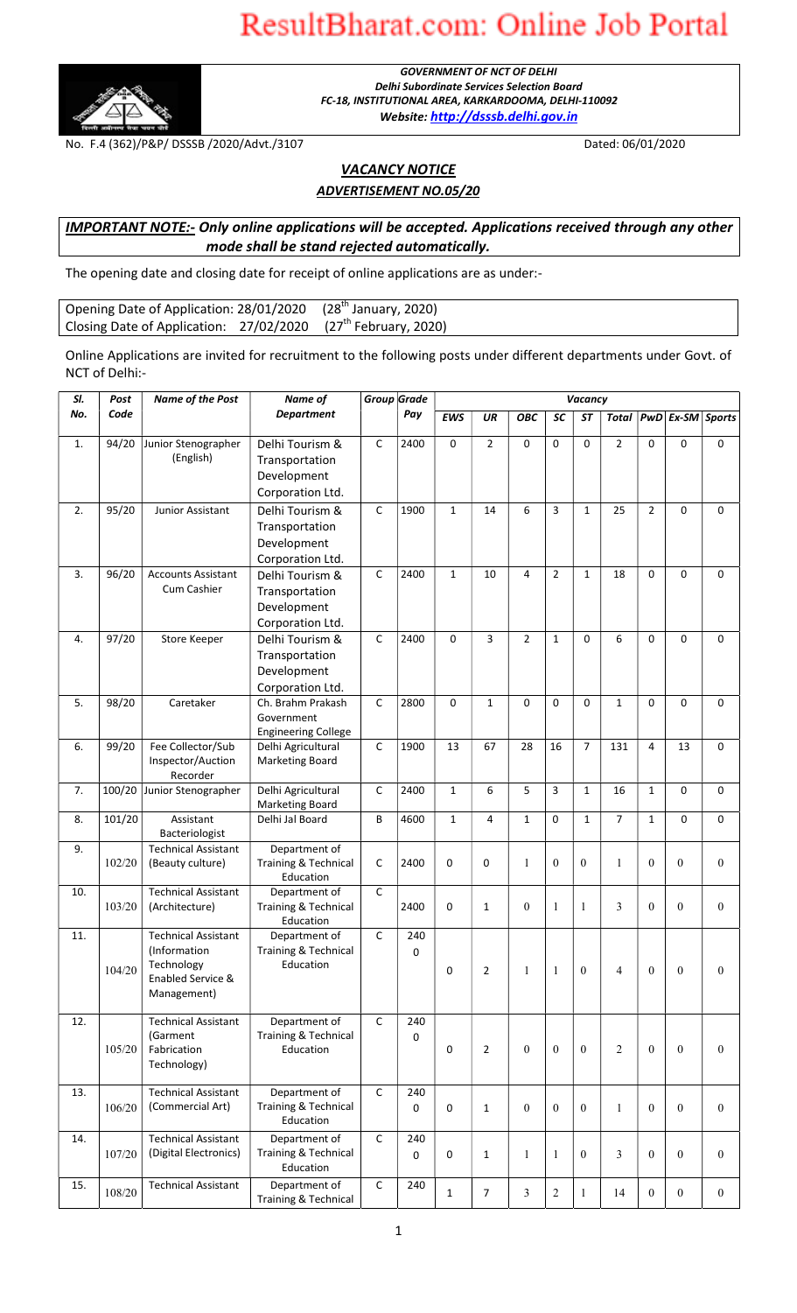

GOVERNMENT OF NCT OF DELHI Delhi Subordinate Services Selection Board FC-18, INSTITUTIONAL AREA, KARKARDOOMA, DELHI-110092 Website: http://dsssb.delhi.gov.in

No. F.4 (362)/P&P/ DSSSB /2020/Advt./3107 Dated: 06/01/2020

VACANCY NOTICE

ADVERTISEMENT NO.05/20

### **IMPORTANT NOTE:-** Only online applications will be accepted. Applications received through any other mode shall be stand rejected automatically.

The opening date and closing date for receipt of online applications are as under:-

Opening Date of Application: 28/01/2020 (28<sup>th</sup> January, 2020)<br>Closing Date of Application: 27/02/2020 (27<sup>th</sup> February, 2020) <sup>th</sup> January, 2020) Closing Date of Application: 27/02/2020

Online Applications are invited for recruitment to the following posts under different departments under Govt. of NCT of Delhi:-

| SI. | Post   | <b>Name of the Post</b>                                                                      | Name of                                                              |              | Group Grade        |              |                |                  |                | Vacancy        |                |                  |                    |                  |
|-----|--------|----------------------------------------------------------------------------------------------|----------------------------------------------------------------------|--------------|--------------------|--------------|----------------|------------------|----------------|----------------|----------------|------------------|--------------------|------------------|
| No. | Code   |                                                                                              | <b>Department</b>                                                    |              | Pay                | <b>EWS</b>   | <b>UR</b>      | ОВС              | SC             | <b>ST</b>      | <b>Total</b>   |                  | $PWD$ Ex-SM Sports |                  |
| 1.  | 94/20  | Junior Stenographer<br>(English)                                                             | Delhi Tourism &<br>Transportation<br>Development<br>Corporation Ltd. | $\mathsf C$  | 2400               | $\mathbf 0$  | $\overline{2}$ | 0                | $\mathbf 0$    | $\mathbf 0$    | $\overline{2}$ | $\Omega$         | $\Omega$           | $\mathbf 0$      |
| 2.  | 95/20  | Junior Assistant                                                                             | Delhi Tourism &<br>Transportation<br>Development<br>Corporation Ltd. | C            | 1900               | $\mathbf{1}$ | 14             | 6                | 3              | $\mathbf{1}$   | 25             | $\overline{2}$   | 0                  | $\Omega$         |
| 3.  | 96/20  | <b>Accounts Assistant</b><br>Cum Cashier                                                     | Delhi Tourism &<br>Transportation<br>Development<br>Corporation Ltd. | C            | 2400               | $\mathbf{1}$ | 10             | 4                | $\overline{2}$ | $\mathbf{1}$   | 18             | $\Omega$         | 0                  | 0                |
| 4.  | 97/20  | Store Keeper                                                                                 | Delhi Tourism &<br>Transportation<br>Development<br>Corporation Ltd. | C            | 2400               | $\Omega$     | 3              | $\overline{2}$   | $\mathbf{1}$   | $\mathbf 0$    | 6              | 0                | 0                  | 0                |
| 5.  | 98/20  | Caretaker                                                                                    | Ch. Brahm Prakash<br>Government<br><b>Engineering College</b>        | $\mathsf{C}$ | 2800               | $\Omega$     | $\mathbf{1}$   | 0                | 0              | 0              | $\mathbf{1}$   | 0                | 0                  | 0                |
| 6.  | 99/20  | Fee Collector/Sub<br>Inspector/Auction<br>Recorder                                           | Delhi Agricultural<br><b>Marketing Board</b>                         | C            | 1900               | 13           | 67             | 28               | 16             | $\overline{7}$ | 131            | 4                | 13                 | 0                |
| 7.  | 100/20 | Junior Stenographer                                                                          | Delhi Agricultural<br>Marketing Board                                | $\mathsf{C}$ | 2400               | $\mathbf{1}$ | 6              | 5                | 3              | $\mathbf{1}$   | 16             | $\mathbf{1}$     | $\Omega$           | $\Omega$         |
| 8.  | 101/20 | Assistant<br>Bacteriologist                                                                  | Delhi Jal Board                                                      | B            | 4600               | $\mathbf{1}$ | 4              | $\mathbf{1}$     | $\mathbf 0$    | $\mathbf{1}$   | $\overline{7}$ | $\mathbf{1}$     | $\Omega$           | $\Omega$         |
| 9.  | 102/20 | <b>Technical Assistant</b><br>(Beauty culture)                                               | Department of<br>Training & Technical<br>Education                   | C            | 2400               | 0            | 0              | 1                | $\mathbf{0}$   | $\mathbf{0}$   | $\mathbf{1}$   | $\mathbf{0}$     | $\overline{0}$     | $\Omega$         |
| 10. | 103/20 | <b>Technical Assistant</b><br>(Architecture)                                                 | Department of<br>Training & Technical<br>Education                   | $\mathsf{C}$ | 2400               | 0            | $\mathbf{1}$   | $\boldsymbol{0}$ | 1              | 1              | 3              | $\mathbf{0}$     | $\overline{0}$     | $\mathbf{0}$     |
| 11. | 104/20 | <b>Technical Assistant</b><br>(Information<br>Technology<br>Enabled Service &<br>Management) | Department of<br>Training & Technical<br>Education                   | C            | 240<br>0           | 0            | 2              | 1                | 1              | $\mathbf{0}$   | 4              | $\mathbf{0}$     | $\mathbf{0}$       | $\boldsymbol{0}$ |
| 12. | 105/20 | <b>Technical Assistant</b><br>(Garment<br>Fabrication<br>Technology)                         | Department of<br>Training & Technical<br>Education                   | $\mathsf{C}$ | 240<br>0           | 0            | $\overline{2}$ | $\mathbf{0}$     | $\mathbf{0}$   | $\mathbf{0}$   | $\overline{2}$ | $\theta$         | $\overline{0}$     | $\mathbf{0}$     |
| 13. | 106/20 | <b>Technical Assistant</b><br>(Commercial Art)                                               | Department of<br>Training & Technical<br>Education                   | $\mathsf{C}$ | 240<br>$\mathbf 0$ | 0            | 1              | $\boldsymbol{0}$ | $\mathbf{0}$   | $\mathbf{0}$   | 1              | $\mathbf{0}$     | $\boldsymbol{0}$   | $\mathbf{0}$     |
| 14. | 107/20 | <b>Technical Assistant</b><br>(Digital Electronics)                                          | Department of<br>Training & Technical<br>Education                   | $\mathsf{C}$ | 240<br>$\mathbf 0$ | 0            | 1              | $\mathbf{1}$     | 1              | $\mathbf{0}$   | 3              | $\mathbf{0}$     | $\boldsymbol{0}$   | $\mathbf{0}$     |
| 15. | 108/20 | <b>Technical Assistant</b>                                                                   | Department of<br>Training & Technical                                | $\mathsf C$  | 240                | $\mathbf{1}$ | $\overline{7}$ | 3                | $\sqrt{2}$     | $\mathbf{1}$   | 14             | $\boldsymbol{0}$ | $\boldsymbol{0}$   | $\overline{0}$   |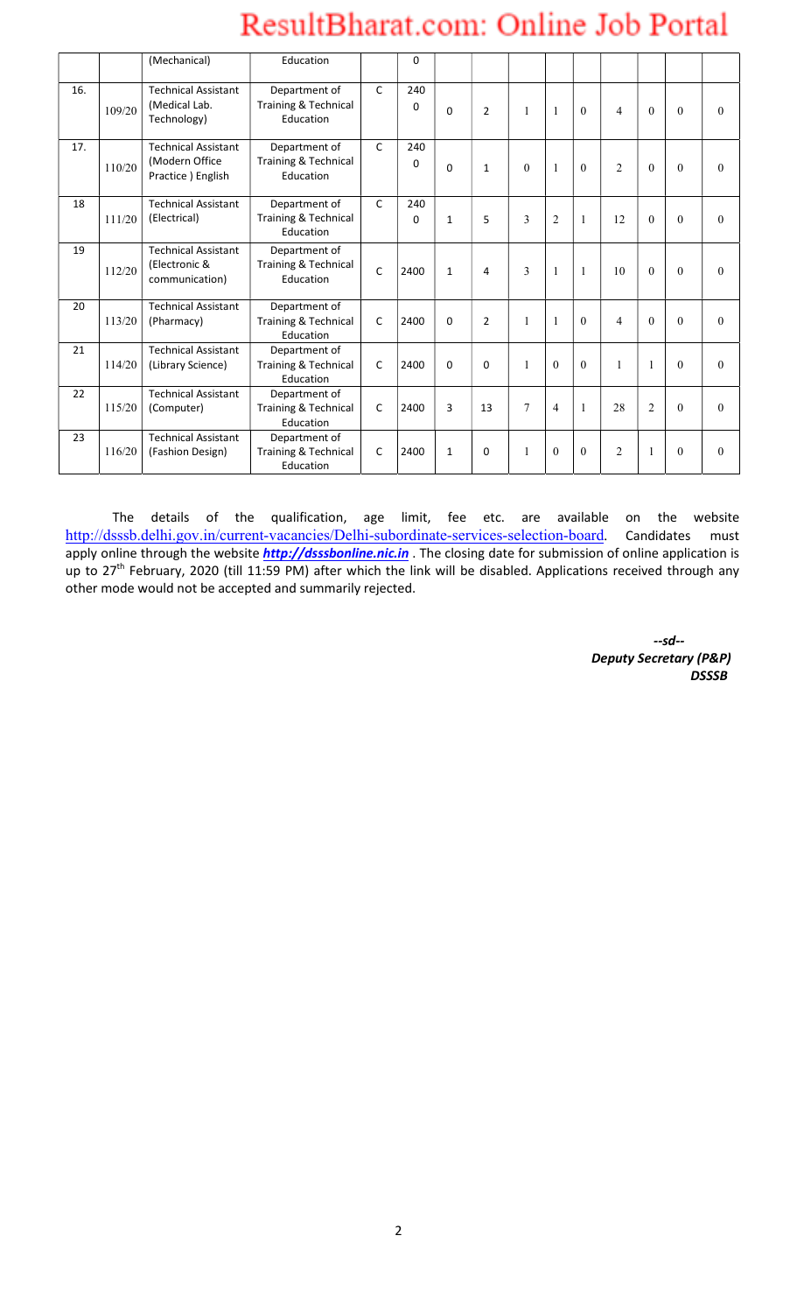|     |        | (Mechanical)                                                       | Education                                                     |              | 0                  |              |                |              |                |                |                |                |              |          |
|-----|--------|--------------------------------------------------------------------|---------------------------------------------------------------|--------------|--------------------|--------------|----------------|--------------|----------------|----------------|----------------|----------------|--------------|----------|
| 16. | 109/20 | <b>Technical Assistant</b><br>(Medical Lab.<br>Technology)         | Department of<br><b>Training &amp; Technical</b><br>Education | $\mathsf{C}$ | 240<br>0           | 0            | $\overline{2}$ | 1            | $\overline{1}$ | $\theta$       | 4              | $\theta$       | $\Omega$     | $\theta$ |
| 17. | 110/20 | <b>Technical Assistant</b><br>(Modern Office<br>Practice ) English | Department of<br><b>Training &amp; Technical</b><br>Education | $\mathsf{C}$ | 240<br>$\mathbf 0$ | 0            | $\mathbf{1}$   | $\mathbf{0}$ | $\mathbf{1}$   | $\theta$       | $\overline{2}$ | $\theta$       | $\theta$     | $\theta$ |
| 18  | 111/20 | <b>Technical Assistant</b><br>(Electrical)                         | Department of<br><b>Training &amp; Technical</b><br>Education | $\mathsf{C}$ | 240<br>$\Omega$    | $\mathbf{1}$ | 5              | 3            | $\overline{2}$ | 1              | 12             | $\theta$       | $\theta$     | $\theta$ |
| 19  | 112/20 | <b>Technical Assistant</b><br>(Electronic &<br>communication)      | Department of<br><b>Training &amp; Technical</b><br>Education | $\mathsf{C}$ | 2400               | $\mathbf{1}$ | 4              | 3            | $\mathbf{1}$   | $\mathbf{1}$   | 10             | $\theta$       | $\Omega$     | $\theta$ |
| 20  | 113/20 | <b>Technical Assistant</b><br>(Pharmacy)                           | Department of<br><b>Training &amp; Technical</b><br>Education | $\mathsf{C}$ | 2400               | 0            | $\overline{2}$ | 1            | $\mathbf{1}$   | $\theta$       | $\overline{4}$ | $\Omega$       | $\theta$     | $\theta$ |
| 21  | 114/20 | <b>Technical Assistant</b><br>(Library Science)                    | Department of<br><b>Training &amp; Technical</b><br>Education | $\mathsf{C}$ | 2400               | 0            | $\Omega$       | $\mathbf{1}$ | $\theta$       | $\Omega$       | 1              |                | $\theta$     | $\theta$ |
| 22  | 115/20 | <b>Technical Assistant</b><br>(Computer)                           | Department of<br><b>Training &amp; Technical</b><br>Education | $\mathsf{C}$ | 2400               | 3            | 13             | 7            | $\overline{4}$ | $\overline{1}$ | 28             | $\overline{2}$ | $\mathbf{0}$ | $\theta$ |
| 23  | 116/20 | <b>Technical Assistant</b><br>(Fashion Design)                     | Department of<br><b>Training &amp; Technical</b><br>Education | $\mathsf{C}$ | 2400               | $\mathbf{1}$ | 0              | 1            | $\Omega$       | $\theta$       | $\overline{c}$ |                | $\mathbf{0}$ | $\theta$ |

The details of the qualification, age limit, fee etc. are available on the website http://dsssb.delhi.gov.in/current-vacancies/Delhi-subordinate-services-selection-board. Candidates must apply online through the website *http://dsssbonline.nic.in* . The closing date for submission of online application is up to 27<sup>th</sup> February, 2020 (till 11:59 PM) after which the link will be disabled. Applications received through any other mode would not be accepted and summarily rejected.

 --sd-- Deputy Secretary (P&P) **DSSSB**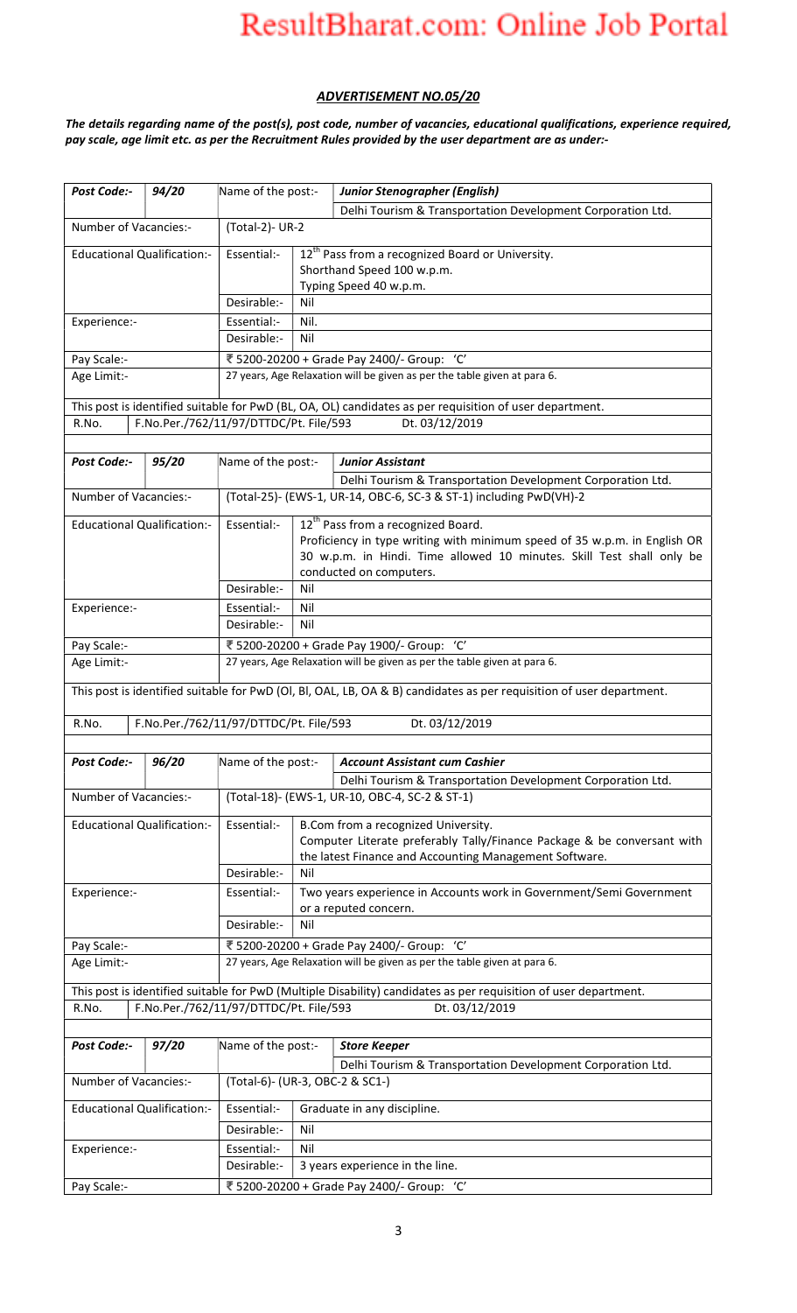## ADVERTISEMENT NO.05/20

### The details regarding name of the post(s), post code, number of vacancies, educational qualifications, experience required, pay scale, age limit etc. as per the Recruitment Rules provided by the user department are as under:-

| Post Code:-                        | 94/20 | Name of the post:-                     |                                                                          | <b>Junior Stenographer (English)</b>                                                                                 |  |  |  |  |  |
|------------------------------------|-------|----------------------------------------|--------------------------------------------------------------------------|----------------------------------------------------------------------------------------------------------------------|--|--|--|--|--|
|                                    |       |                                        |                                                                          | Delhi Tourism & Transportation Development Corporation Ltd.                                                          |  |  |  |  |  |
| Number of Vacancies:-              |       | (Total-2)- UR-2                        |                                                                          |                                                                                                                      |  |  |  |  |  |
| <b>Educational Qualification:-</b> |       | Essential:-                            |                                                                          | 12 <sup>th</sup> Pass from a recognized Board or University.                                                         |  |  |  |  |  |
|                                    |       |                                        |                                                                          | Shorthand Speed 100 w.p.m.                                                                                           |  |  |  |  |  |
|                                    |       |                                        |                                                                          | Typing Speed 40 w.p.m.                                                                                               |  |  |  |  |  |
|                                    |       | Desirable:-                            | Nil                                                                      |                                                                                                                      |  |  |  |  |  |
| Experience:-                       |       | Essential:-                            | Nil.                                                                     |                                                                                                                      |  |  |  |  |  |
|                                    |       | Desirable:-                            | Nil                                                                      |                                                                                                                      |  |  |  |  |  |
| Pay Scale:-                        |       |                                        | ₹ 5200-20200 + Grade Pay 2400/- Group: 'C'                               |                                                                                                                      |  |  |  |  |  |
| Age Limit:-                        |       |                                        | 27 years, Age Relaxation will be given as per the table given at para 6. |                                                                                                                      |  |  |  |  |  |
|                                    |       |                                        |                                                                          | This post is identified suitable for PwD (BL, OA, OL) candidates as per requisition of user department.              |  |  |  |  |  |
| R.No.                              |       | F.No.Per./762/11/97/DTTDC/Pt. File/593 |                                                                          | Dt. 03/12/2019                                                                                                       |  |  |  |  |  |
|                                    |       |                                        |                                                                          |                                                                                                                      |  |  |  |  |  |
| Post Code:-                        | 95/20 | Name of the post:-                     |                                                                          | <b>Junior Assistant</b>                                                                                              |  |  |  |  |  |
|                                    |       |                                        |                                                                          | Delhi Tourism & Transportation Development Corporation Ltd.                                                          |  |  |  |  |  |
| Number of Vacancies:-              |       |                                        |                                                                          | (Total-25)- (EWS-1, UR-14, OBC-6, SC-3 & ST-1) including PwD(VH)-2                                                   |  |  |  |  |  |
| <b>Educational Qualification:-</b> |       | Essential:-                            |                                                                          | 12 <sup>th</sup> Pass from a recognized Board.                                                                       |  |  |  |  |  |
|                                    |       |                                        |                                                                          | Proficiency in type writing with minimum speed of 35 w.p.m. in English OR                                            |  |  |  |  |  |
|                                    |       |                                        |                                                                          | 30 w.p.m. in Hindi. Time allowed 10 minutes. Skill Test shall only be                                                |  |  |  |  |  |
|                                    |       |                                        |                                                                          | conducted on computers.                                                                                              |  |  |  |  |  |
|                                    |       | Desirable:-                            | Nil                                                                      |                                                                                                                      |  |  |  |  |  |
| Experience:-                       |       | Essential:-                            | Nil                                                                      |                                                                                                                      |  |  |  |  |  |
|                                    |       | Desirable:-                            | Nil                                                                      |                                                                                                                      |  |  |  |  |  |
| Pay Scale:-                        |       |                                        |                                                                          | ₹ 5200-20200 + Grade Pay 1900/- Group: 'C'                                                                           |  |  |  |  |  |
| Age Limit:-                        |       |                                        |                                                                          | 27 years, Age Relaxation will be given as per the table given at para 6.                                             |  |  |  |  |  |
|                                    |       |                                        |                                                                          | This post is identified suitable for PwD (OI, BI, OAL, LB, OA & B) candidates as per requisition of user department. |  |  |  |  |  |
|                                    |       |                                        |                                                                          |                                                                                                                      |  |  |  |  |  |
| R.No.                              |       | F.No.Per./762/11/97/DTTDC/Pt. File/593 |                                                                          | Dt. 03/12/2019                                                                                                       |  |  |  |  |  |
|                                    |       |                                        |                                                                          |                                                                                                                      |  |  |  |  |  |
| <b>Post Code:-</b>                 | 96/20 | Name of the post:-                     |                                                                          | <b>Account Assistant cum Cashier</b>                                                                                 |  |  |  |  |  |
| Number of Vacancies:-              |       |                                        |                                                                          | Delhi Tourism & Transportation Development Corporation Ltd.<br>(Total-18)- (EWS-1, UR-10, OBC-4, SC-2 & ST-1)        |  |  |  |  |  |
|                                    |       |                                        |                                                                          |                                                                                                                      |  |  |  |  |  |
| <b>Educational Qualification:-</b> |       | Essential:-                            |                                                                          | B.Com from a recognized University.                                                                                  |  |  |  |  |  |
|                                    |       |                                        |                                                                          | Computer Literate preferably Tally/Finance Package & be conversant with                                              |  |  |  |  |  |
|                                    |       |                                        |                                                                          | the latest Finance and Accounting Management Software.                                                               |  |  |  |  |  |
|                                    |       | Desirable:-                            | Nil                                                                      |                                                                                                                      |  |  |  |  |  |
| Experience:-                       |       | Essential:-                            |                                                                          | Two years experience in Accounts work in Government/Semi Government                                                  |  |  |  |  |  |
|                                    |       |                                        |                                                                          | or a reputed concern.                                                                                                |  |  |  |  |  |
|                                    |       | Desirable:-                            | Nil                                                                      |                                                                                                                      |  |  |  |  |  |
| Pay Scale:-                        |       |                                        |                                                                          | ₹ 5200-20200 + Grade Pay 2400/- Group: 'C'                                                                           |  |  |  |  |  |
| Age Limit:-                        |       |                                        |                                                                          | 27 years, Age Relaxation will be given as per the table given at para 6.                                             |  |  |  |  |  |
|                                    |       |                                        |                                                                          | This post is identified suitable for PwD (Multiple Disability) candidates as per requisition of user department.     |  |  |  |  |  |
| R.No.                              |       | F.No.Per./762/11/97/DTTDC/Pt. File/593 |                                                                          | Dt. 03/12/2019                                                                                                       |  |  |  |  |  |
|                                    |       |                                        |                                                                          |                                                                                                                      |  |  |  |  |  |
| Post Code:-                        | 97/20 | Name of the post:-                     |                                                                          | <b>Store Keeper</b>                                                                                                  |  |  |  |  |  |
|                                    |       |                                        |                                                                          | Delhi Tourism & Transportation Development Corporation Ltd.                                                          |  |  |  |  |  |
| Number of Vacancies:-              |       | (Total-6)- (UR-3, OBC-2 & SC1-)        |                                                                          |                                                                                                                      |  |  |  |  |  |
| <b>Educational Qualification:-</b> |       | Essential:-                            |                                                                          | Graduate in any discipline.                                                                                          |  |  |  |  |  |
|                                    |       | Desirable:-                            | Nil                                                                      |                                                                                                                      |  |  |  |  |  |
| Experience:-                       |       | Essential:-                            | Nil                                                                      |                                                                                                                      |  |  |  |  |  |
|                                    |       | Desirable:-                            |                                                                          | 3 years experience in the line.                                                                                      |  |  |  |  |  |
| Pay Scale:-                        |       |                                        |                                                                          | ₹ 5200-20200 + Grade Pay 2400/- Group: 'C'                                                                           |  |  |  |  |  |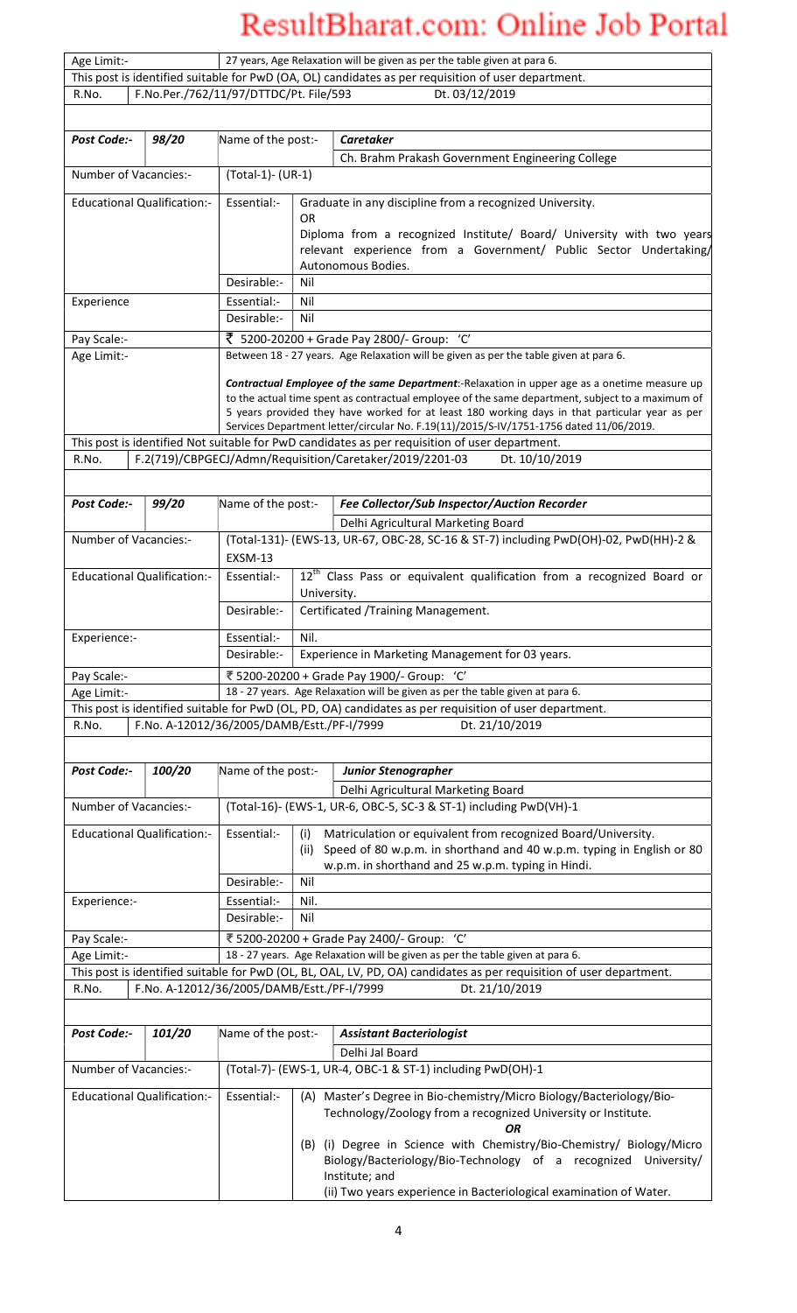| Age Limit:-                                                                                         |        |                                        | 27 years, Age Relaxation will be given as per the table given at para 6.                                             |  |
|-----------------------------------------------------------------------------------------------------|--------|----------------------------------------|----------------------------------------------------------------------------------------------------------------------|--|
| This post is identified suitable for PwD (OA, OL) candidates as per requisition of user department. |        |                                        |                                                                                                                      |  |
| R.No.                                                                                               |        | F.No.Per./762/11/97/DTTDC/Pt. File/593 | Dt. 03/12/2019                                                                                                       |  |
|                                                                                                     |        |                                        |                                                                                                                      |  |
|                                                                                                     |        |                                        |                                                                                                                      |  |
| Post Code:-                                                                                         | 98/20  | Name of the post:-                     | <b>Caretaker</b>                                                                                                     |  |
|                                                                                                     |        |                                        | Ch. Brahm Prakash Government Engineering College                                                                     |  |
| Number of Vacancies:-                                                                               |        | (Total-1)- (UR-1)                      |                                                                                                                      |  |
|                                                                                                     |        |                                        |                                                                                                                      |  |
| <b>Educational Qualification:-</b>                                                                  |        | Essential:-                            | Graduate in any discipline from a recognized University.<br><b>OR</b>                                                |  |
|                                                                                                     |        |                                        | Diploma from a recognized Institute/ Board/ University with two years                                                |  |
|                                                                                                     |        |                                        | relevant experience from a Government/ Public Sector Undertaking/                                                    |  |
|                                                                                                     |        |                                        | Autonomous Bodies.                                                                                                   |  |
|                                                                                                     |        | Desirable:-                            | Nil                                                                                                                  |  |
|                                                                                                     |        | Essential:-                            |                                                                                                                      |  |
| Experience                                                                                          |        | Desirable:-                            | Nil<br>Nil                                                                                                           |  |
|                                                                                                     |        |                                        |                                                                                                                      |  |
| Pay Scale:-                                                                                         |        |                                        | ₹ 5200-20200 + Grade Pay 2800/- Group: 'C'                                                                           |  |
| Age Limit:-                                                                                         |        |                                        | Between 18 - 27 years. Age Relaxation will be given as per the table given at para 6.                                |  |
|                                                                                                     |        |                                        | Contractual Employee of the same Department:-Relaxation in upper age as a onetime measure up                         |  |
|                                                                                                     |        |                                        | to the actual time spent as contractual employee of the same department, subject to a maximum of                     |  |
|                                                                                                     |        |                                        | 5 years provided they have worked for at least 180 working days in that particular year as per                       |  |
|                                                                                                     |        |                                        | Services Department letter/circular No. F.19(11)/2015/S-IV/1751-1756 dated 11/06/2019.                               |  |
|                                                                                                     |        |                                        | This post is identified Not suitable for PwD candidates as per requisition of user department.                       |  |
| R.No.                                                                                               |        |                                        | F.2(719)/CBPGECJ/Admn/Requisition/Caretaker/2019/2201-03<br>Dt. 10/10/2019                                           |  |
|                                                                                                     |        |                                        |                                                                                                                      |  |
|                                                                                                     |        |                                        |                                                                                                                      |  |
| Post Code:-                                                                                         | 99/20  | Name of the post:-                     | Fee Collector/Sub Inspector/Auction Recorder                                                                         |  |
|                                                                                                     |        |                                        | Delhi Agricultural Marketing Board                                                                                   |  |
| Number of Vacancies:-                                                                               |        |                                        | (Total-131)- (EWS-13, UR-67, OBC-28, SC-16 & ST-7) including PwD(OH)-02, PwD(HH)-2 &                                 |  |
|                                                                                                     |        | EXSM-13                                |                                                                                                                      |  |
| <b>Educational Qualification:-</b>                                                                  |        | Essential:-                            | 12 <sup>th</sup> Class Pass or equivalent qualification from a recognized Board or                                   |  |
|                                                                                                     |        |                                        | University.                                                                                                          |  |
|                                                                                                     |        | Desirable:-                            | Certificated /Training Management.                                                                                   |  |
|                                                                                                     |        |                                        |                                                                                                                      |  |
| Experience:-                                                                                        |        | Essential:-                            | Nil.                                                                                                                 |  |
|                                                                                                     |        | Desirable:-                            | Experience in Marketing Management for 03 years.                                                                     |  |
| Pay Scale:-                                                                                         |        |                                        | ₹ 5200-20200 + Grade Pay 1900/- Group: 'C'                                                                           |  |
| Age Limit:-                                                                                         |        |                                        | 18 - 27 years. Age Relaxation will be given as per the table given at para 6.                                        |  |
|                                                                                                     |        |                                        | This post is identified suitable for PwD (OL, PD, OA) candidates as per requisition of user department.              |  |
| R.No.                                                                                               |        |                                        | F.No. A-12012/36/2005/DAMB/Estt./PF-I/7999<br>Dt. 21/10/2019                                                         |  |
|                                                                                                     |        |                                        |                                                                                                                      |  |
|                                                                                                     |        |                                        |                                                                                                                      |  |
| Post Code:-                                                                                         | 100/20 | Name of the post:-                     | <b>Junior Stenographer</b>                                                                                           |  |
|                                                                                                     |        |                                        | Delhi Agricultural Marketing Board                                                                                   |  |
| Number of Vacancies:-                                                                               |        |                                        | (Total-16)- (EWS-1, UR-6, OBC-5, SC-3 & ST-1) including PwD(VH)-1                                                    |  |
|                                                                                                     |        |                                        |                                                                                                                      |  |
| <b>Educational Qualification:-</b>                                                                  |        | Essential:-                            | Matriculation or equivalent from recognized Board/University.<br>(i)                                                 |  |
|                                                                                                     |        |                                        | Speed of 80 w.p.m. in shorthand and 40 w.p.m. typing in English or 80<br>(ii)                                        |  |
|                                                                                                     |        |                                        | w.p.m. in shorthand and 25 w.p.m. typing in Hindi.                                                                   |  |
|                                                                                                     |        | Desirable:-                            | Nil                                                                                                                  |  |
| Experience:-                                                                                        |        | Essential:-                            | Nil.                                                                                                                 |  |
|                                                                                                     |        | Desirable:-                            | Nil                                                                                                                  |  |
| Pay Scale:-                                                                                         |        |                                        | ₹ 5200-20200 + Grade Pay 2400/- Group: 'C'                                                                           |  |
| Age Limit:-                                                                                         |        |                                        | 18 - 27 years. Age Relaxation will be given as per the table given at para 6.                                        |  |
|                                                                                                     |        |                                        | This post is identified suitable for PwD (OL, BL, OAL, LV, PD, OA) candidates as per requisition of user department. |  |
| R.No.                                                                                               |        |                                        | F.No. A-12012/36/2005/DAMB/Estt./PF-I/7999<br>Dt. 21/10/2019                                                         |  |
|                                                                                                     |        |                                        |                                                                                                                      |  |
|                                                                                                     |        |                                        |                                                                                                                      |  |
| Post Code:-                                                                                         | 101/20 | Name of the post:-                     | <b>Assistant Bacteriologist</b>                                                                                      |  |
|                                                                                                     |        |                                        | Delhi Jal Board                                                                                                      |  |
| Number of Vacancies:-                                                                               |        |                                        | (Total-7)- (EWS-1, UR-4, OBC-1 & ST-1) including PwD(OH)-1                                                           |  |
|                                                                                                     |        |                                        |                                                                                                                      |  |
| <b>Educational Qualification:-</b>                                                                  |        | Essential:-                            | (A) Master's Degree in Bio-chemistry/Micro Biology/Bacteriology/Bio-                                                 |  |
|                                                                                                     |        |                                        | Technology/Zoology from a recognized University or Institute.                                                        |  |
|                                                                                                     |        |                                        | ΟR                                                                                                                   |  |
|                                                                                                     |        |                                        | (i) Degree in Science with Chemistry/Bio-Chemistry/ Biology/Micro<br>(B)                                             |  |
|                                                                                                     |        |                                        | Biology/Bacteriology/Bio-Technology of a recognized University/                                                      |  |
|                                                                                                     |        |                                        | Institute; and                                                                                                       |  |
|                                                                                                     |        |                                        | (ii) Two years experience in Bacteriological examination of Water.                                                   |  |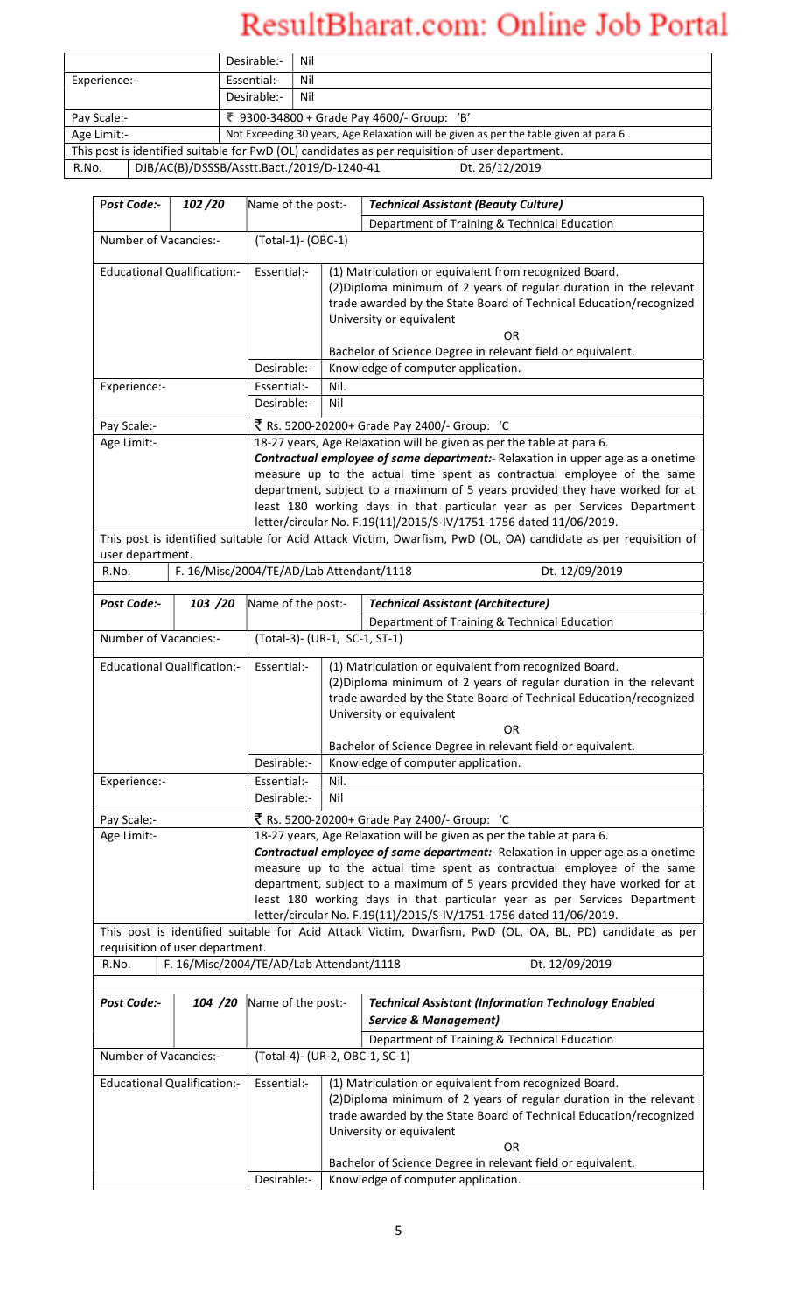| Desirable:-<br>Nil                                                                                    |  |             |     |  |  |
|-------------------------------------------------------------------------------------------------------|--|-------------|-----|--|--|
| Experience:-                                                                                          |  | Essential:- | Nil |  |  |
|                                                                                                       |  | Desirable:- | Nil |  |  |
| ₹ 9300-34800 + Grade Pay 4600/- Group: 'B'<br>Pay Scale:-                                             |  |             |     |  |  |
| Not Exceeding 30 years, Age Relaxation will be given as per the table given at para 6.<br>Age Limit:- |  |             |     |  |  |
| This post is identified suitable for PwD (OL) candidates as per requisition of user department.       |  |             |     |  |  |
| DJB/AC(B)/DSSSB/Asstt.Bact./2019/D-1240-41<br>Dt. 26/12/2019<br>R.No.                                 |  |             |     |  |  |

| Post Code:-           | 102/20                                   | Name of the post:-                       |                                                                                                                                                                      | <b>Technical Assistant (Beauty Culture)</b>                                                                                                               |  |  |  |
|-----------------------|------------------------------------------|------------------------------------------|----------------------------------------------------------------------------------------------------------------------------------------------------------------------|-----------------------------------------------------------------------------------------------------------------------------------------------------------|--|--|--|
|                       |                                          |                                          |                                                                                                                                                                      | Department of Training & Technical Education                                                                                                              |  |  |  |
| Number of Vacancies:- |                                          | (Total-1)- (OBC-1)                       |                                                                                                                                                                      |                                                                                                                                                           |  |  |  |
|                       | <b>Educational Qualification:-</b>       | Essential:-                              |                                                                                                                                                                      | (1) Matriculation or equivalent from recognized Board.                                                                                                    |  |  |  |
|                       |                                          |                                          |                                                                                                                                                                      | (2) Diploma minimum of 2 years of regular duration in the relevant                                                                                        |  |  |  |
|                       |                                          |                                          |                                                                                                                                                                      | trade awarded by the State Board of Technical Education/recognized                                                                                        |  |  |  |
|                       |                                          |                                          |                                                                                                                                                                      | University or equivalent<br>OR.                                                                                                                           |  |  |  |
|                       |                                          |                                          |                                                                                                                                                                      | Bachelor of Science Degree in relevant field or equivalent.                                                                                               |  |  |  |
|                       |                                          | Desirable:-                              |                                                                                                                                                                      | Knowledge of computer application.                                                                                                                        |  |  |  |
| Experience:-          |                                          | Essential:-                              | Nil.                                                                                                                                                                 |                                                                                                                                                           |  |  |  |
|                       |                                          | Desirable:-                              | Nil                                                                                                                                                                  |                                                                                                                                                           |  |  |  |
| Pay Scale:-           |                                          |                                          |                                                                                                                                                                      | ₹ Rs. 5200-20200+ Grade Pay 2400/- Group: 'C                                                                                                              |  |  |  |
| Age Limit:-           |                                          |                                          |                                                                                                                                                                      | 18-27 years, Age Relaxation will be given as per the table at para 6.                                                                                     |  |  |  |
|                       |                                          |                                          |                                                                                                                                                                      | <b>Contractual employee of same department:</b> - Relaxation in upper age as a onetime                                                                    |  |  |  |
|                       |                                          |                                          |                                                                                                                                                                      | measure up to the actual time spent as contractual employee of the same                                                                                   |  |  |  |
|                       |                                          |                                          |                                                                                                                                                                      | department, subject to a maximum of 5 years provided they have worked for at<br>least 180 working days in that particular year as per Services Department |  |  |  |
|                       |                                          |                                          |                                                                                                                                                                      | letter/circular No. F.19(11)/2015/S-IV/1751-1756 dated 11/06/2019.                                                                                        |  |  |  |
| user department.      |                                          |                                          |                                                                                                                                                                      | This post is identified suitable for Acid Attack Victim, Dwarfism, PwD (OL, OA) candidate as per requisition of                                           |  |  |  |
| R.No.                 |                                          | F. 16/Misc/2004/TE/AD/Lab Attendant/1118 |                                                                                                                                                                      | Dt. 12/09/2019                                                                                                                                            |  |  |  |
|                       |                                          |                                          |                                                                                                                                                                      |                                                                                                                                                           |  |  |  |
| Post Code:-           | 103 /20                                  | Name of the post:-                       |                                                                                                                                                                      | <b>Technical Assistant (Architecture)</b>                                                                                                                 |  |  |  |
|                       |                                          |                                          |                                                                                                                                                                      | Department of Training & Technical Education                                                                                                              |  |  |  |
| Number of Vacancies:- |                                          |                                          | (Total-3)- (UR-1, SC-1, ST-1)                                                                                                                                        |                                                                                                                                                           |  |  |  |
|                       | <b>Educational Qualification:-</b>       | Essential:-                              |                                                                                                                                                                      | (1) Matriculation or equivalent from recognized Board.                                                                                                    |  |  |  |
|                       |                                          |                                          | (2) Diploma minimum of 2 years of regular duration in the relevant<br>trade awarded by the State Board of Technical Education/recognized<br>University or equivalent |                                                                                                                                                           |  |  |  |
|                       |                                          |                                          |                                                                                                                                                                      |                                                                                                                                                           |  |  |  |
|                       |                                          |                                          |                                                                                                                                                                      | <b>OR</b>                                                                                                                                                 |  |  |  |
|                       |                                          |                                          |                                                                                                                                                                      | Bachelor of Science Degree in relevant field or equivalent.                                                                                               |  |  |  |
|                       |                                          | Desirable:-                              |                                                                                                                                                                      | Knowledge of computer application.                                                                                                                        |  |  |  |
| Experience:-          |                                          | Essential:-                              | Nil.                                                                                                                                                                 |                                                                                                                                                           |  |  |  |
|                       |                                          | Desirable:-                              | Nil                                                                                                                                                                  |                                                                                                                                                           |  |  |  |
| Pay Scale:-           |                                          |                                          |                                                                                                                                                                      | ₹ Rs. 5200-20200+ Grade Pay 2400/- Group: 'C                                                                                                              |  |  |  |
| Age Limit:-           |                                          |                                          |                                                                                                                                                                      | 18-27 years, Age Relaxation will be given as per the table at para 6.                                                                                     |  |  |  |
|                       |                                          |                                          |                                                                                                                                                                      | <b>Contractual employee of same department:</b> - Relaxation in upper age as a onetime                                                                    |  |  |  |
|                       |                                          |                                          |                                                                                                                                                                      | measure up to the actual time spent as contractual employee of the same<br>department, subject to a maximum of 5 years provided they have worked for at   |  |  |  |
|                       |                                          |                                          |                                                                                                                                                                      | least 180 working days in that particular year as per Services Department                                                                                 |  |  |  |
|                       |                                          |                                          |                                                                                                                                                                      | letter/circular No. F.19(11)/2015/S-IV/1751-1756 dated 11/06/2019.                                                                                        |  |  |  |
|                       |                                          |                                          |                                                                                                                                                                      | This post is identified suitable for Acid Attack Victim, Dwarfism, PwD (OL, OA, BL, PD) candidate as per                                                  |  |  |  |
|                       | requisition of user department.          |                                          |                                                                                                                                                                      |                                                                                                                                                           |  |  |  |
| R.No.                 | F. 16/Misc/2004/TE/AD/Lab Attendant/1118 |                                          |                                                                                                                                                                      | Dt. 12/09/2019                                                                                                                                            |  |  |  |
|                       |                                          |                                          |                                                                                                                                                                      |                                                                                                                                                           |  |  |  |
| Post Code:-           |                                          | 104 /20 Name of the post:-               |                                                                                                                                                                      | <b>Technical Assistant (Information Technology Enabled</b>                                                                                                |  |  |  |
|                       |                                          |                                          |                                                                                                                                                                      | <b>Service &amp; Management)</b>                                                                                                                          |  |  |  |
|                       |                                          |                                          |                                                                                                                                                                      | Department of Training & Technical Education                                                                                                              |  |  |  |
| Number of Vacancies:- |                                          | (Total-4)- (UR-2, OBC-1, SC-1)           |                                                                                                                                                                      |                                                                                                                                                           |  |  |  |
|                       | <b>Educational Qualification:-</b>       | Essential:-                              |                                                                                                                                                                      | (1) Matriculation or equivalent from recognized Board.                                                                                                    |  |  |  |
|                       |                                          |                                          |                                                                                                                                                                      | (2) Diploma minimum of 2 years of regular duration in the relevant                                                                                        |  |  |  |
|                       |                                          |                                          |                                                                                                                                                                      | trade awarded by the State Board of Technical Education/recognized                                                                                        |  |  |  |
|                       |                                          |                                          |                                                                                                                                                                      | University or equivalent<br>OR.                                                                                                                           |  |  |  |
|                       |                                          |                                          |                                                                                                                                                                      | Bachelor of Science Degree in relevant field or equivalent.                                                                                               |  |  |  |
|                       |                                          | Desirable:-                              |                                                                                                                                                                      | Knowledge of computer application.                                                                                                                        |  |  |  |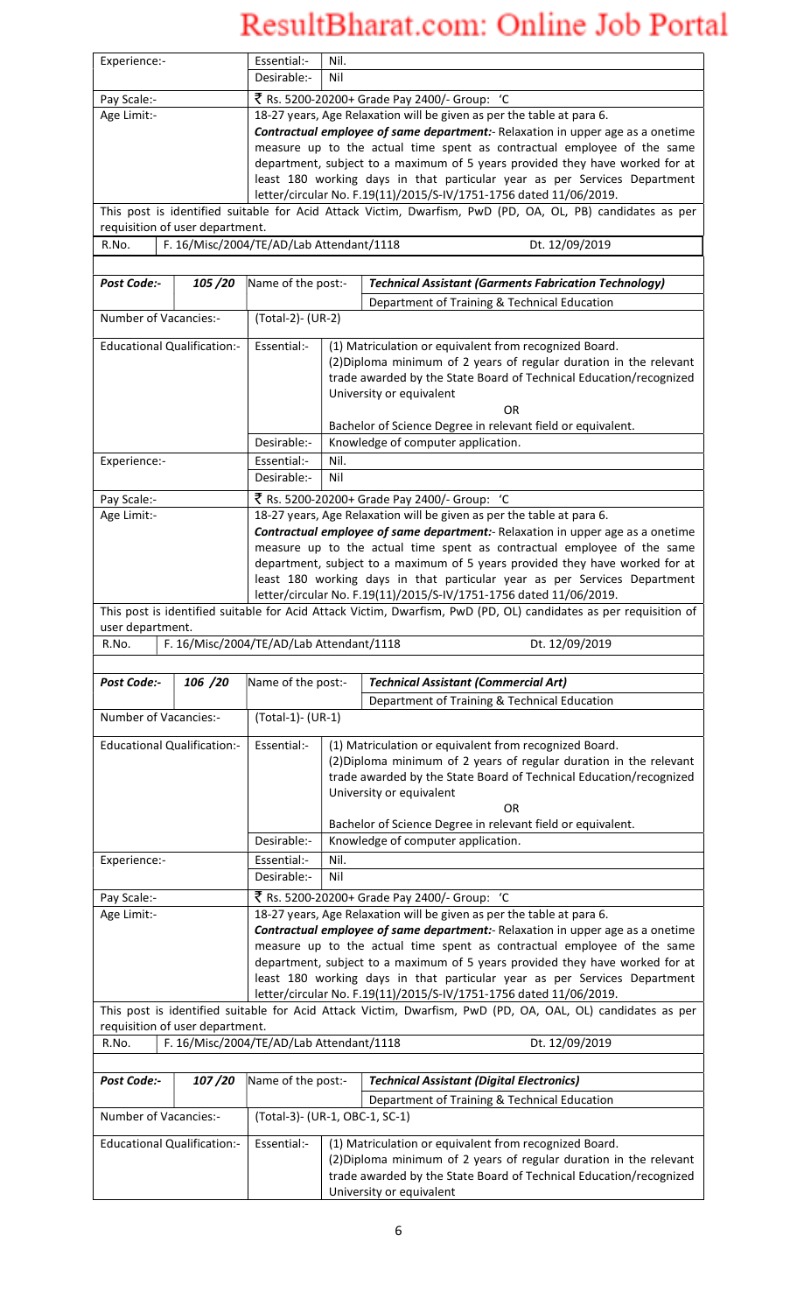| Experience:-          |                                          | Essential:-                    | Nil.                                                                         |                                                                                                                  |  |  |  |  |
|-----------------------|------------------------------------------|--------------------------------|------------------------------------------------------------------------------|------------------------------------------------------------------------------------------------------------------|--|--|--|--|
|                       |                                          | Desirable:-                    | Nil                                                                          |                                                                                                                  |  |  |  |  |
| Pay Scale:-           |                                          |                                |                                                                              | ₹ Rs. 5200-20200+ Grade Pay 2400/- Group: 'C                                                                     |  |  |  |  |
| Age Limit:-           |                                          |                                |                                                                              | 18-27 years, Age Relaxation will be given as per the table at para 6.                                            |  |  |  |  |
|                       |                                          |                                |                                                                              |                                                                                                                  |  |  |  |  |
|                       |                                          |                                |                                                                              | Contractual employee of same department:- Relaxation in upper age as a onetime                                   |  |  |  |  |
|                       |                                          |                                |                                                                              | measure up to the actual time spent as contractual employee of the same                                          |  |  |  |  |
|                       |                                          |                                |                                                                              | department, subject to a maximum of 5 years provided they have worked for at                                     |  |  |  |  |
|                       |                                          |                                | least 180 working days in that particular year as per Services Department    |                                                                                                                  |  |  |  |  |
|                       |                                          |                                |                                                                              | letter/circular No. F.19(11)/2015/S-IV/1751-1756 dated 11/06/2019.                                               |  |  |  |  |
|                       |                                          |                                |                                                                              | This post is identified suitable for Acid Attack Victim, Dwarfism, PwD (PD, OA, OL, PB) candidates as per        |  |  |  |  |
|                       | requisition of user department.          |                                |                                                                              |                                                                                                                  |  |  |  |  |
| R.No.                 | F. 16/Misc/2004/TE/AD/Lab Attendant/1118 |                                |                                                                              | Dt. 12/09/2019                                                                                                   |  |  |  |  |
|                       |                                          |                                |                                                                              |                                                                                                                  |  |  |  |  |
|                       |                                          |                                |                                                                              |                                                                                                                  |  |  |  |  |
| Post Code:-           | 105/20                                   | Name of the post:-             |                                                                              | <b>Technical Assistant (Garments Fabrication Technology)</b>                                                     |  |  |  |  |
|                       |                                          |                                |                                                                              | Department of Training & Technical Education                                                                     |  |  |  |  |
| Number of Vacancies:- |                                          | (Total-2)- (UR-2)              |                                                                              |                                                                                                                  |  |  |  |  |
|                       |                                          |                                |                                                                              |                                                                                                                  |  |  |  |  |
|                       | <b>Educational Qualification:-</b>       | Essential:-                    |                                                                              | (1) Matriculation or equivalent from recognized Board.                                                           |  |  |  |  |
|                       |                                          |                                |                                                                              | (2) Diploma minimum of 2 years of regular duration in the relevant                                               |  |  |  |  |
|                       |                                          |                                |                                                                              | trade awarded by the State Board of Technical Education/recognized                                               |  |  |  |  |
|                       |                                          |                                |                                                                              | University or equivalent                                                                                         |  |  |  |  |
|                       |                                          |                                |                                                                              | OR.                                                                                                              |  |  |  |  |
|                       |                                          |                                |                                                                              | Bachelor of Science Degree in relevant field or equivalent.                                                      |  |  |  |  |
|                       |                                          | Desirable:-                    |                                                                              |                                                                                                                  |  |  |  |  |
|                       |                                          |                                |                                                                              | Knowledge of computer application.                                                                               |  |  |  |  |
| Experience:-          |                                          | Essential:-                    | Nil.                                                                         |                                                                                                                  |  |  |  |  |
|                       |                                          | Desirable:-                    | Nil                                                                          |                                                                                                                  |  |  |  |  |
| Pay Scale:-           |                                          |                                |                                                                              | ₹ Rs. 5200-20200+ Grade Pay 2400/- Group: 'C                                                                     |  |  |  |  |
| Age Limit:-           |                                          |                                |                                                                              | 18-27 years, Age Relaxation will be given as per the table at para 6.                                            |  |  |  |  |
|                       |                                          |                                |                                                                              |                                                                                                                  |  |  |  |  |
|                       |                                          |                                |                                                                              | Contractual employee of same department:- Relaxation in upper age as a onetime                                   |  |  |  |  |
|                       |                                          |                                |                                                                              | measure up to the actual time spent as contractual employee of the same                                          |  |  |  |  |
|                       |                                          |                                | department, subject to a maximum of 5 years provided they have worked for at |                                                                                                                  |  |  |  |  |
|                       |                                          |                                |                                                                              | least 180 working days in that particular year as per Services Department                                        |  |  |  |  |
|                       |                                          |                                |                                                                              | letter/circular No. F.19(11)/2015/S-IV/1751-1756 dated 11/06/2019.                                               |  |  |  |  |
|                       |                                          |                                |                                                                              | This post is identified suitable for Acid Attack Victim, Dwarfism, PwD (PD, OL) candidates as per requisition of |  |  |  |  |
| user department.      |                                          |                                |                                                                              |                                                                                                                  |  |  |  |  |
|                       |                                          |                                |                                                                              |                                                                                                                  |  |  |  |  |
|                       |                                          |                                |                                                                              |                                                                                                                  |  |  |  |  |
| R.No.                 | F. 16/Misc/2004/TE/AD/Lab Attendant/1118 |                                |                                                                              | Dt. 12/09/2019                                                                                                   |  |  |  |  |
|                       |                                          |                                |                                                                              |                                                                                                                  |  |  |  |  |
| Post Code:-           | 106 /20                                  | Name of the post:-             |                                                                              | <b>Technical Assistant (Commercial Art)</b>                                                                      |  |  |  |  |
|                       |                                          |                                |                                                                              | Department of Training & Technical Education                                                                     |  |  |  |  |
| Number of Vacancies:- |                                          | (Total-1)- (UR-1)              |                                                                              |                                                                                                                  |  |  |  |  |
|                       |                                          |                                |                                                                              |                                                                                                                  |  |  |  |  |
|                       | <b>Educational Qualification:-</b>       | Essential:-                    |                                                                              | (1) Matriculation or equivalent from recognized Board.                                                           |  |  |  |  |
|                       |                                          |                                |                                                                              | (2) Diploma minimum of 2 years of regular duration in the relevant                                               |  |  |  |  |
|                       |                                          |                                |                                                                              | trade awarded by the State Board of Technical Education/recognized                                               |  |  |  |  |
|                       |                                          |                                |                                                                              | University or equivalent                                                                                         |  |  |  |  |
|                       |                                          |                                |                                                                              | OR.                                                                                                              |  |  |  |  |
|                       |                                          |                                |                                                                              |                                                                                                                  |  |  |  |  |
|                       |                                          |                                |                                                                              | Bachelor of Science Degree in relevant field or equivalent.                                                      |  |  |  |  |
|                       |                                          | Desirable:-                    |                                                                              | Knowledge of computer application.                                                                               |  |  |  |  |
| Experience:-          |                                          | Essential:-                    | Nil.                                                                         |                                                                                                                  |  |  |  |  |
|                       |                                          | Desirable:-                    | Nil                                                                          |                                                                                                                  |  |  |  |  |
|                       |                                          |                                |                                                                              |                                                                                                                  |  |  |  |  |
| Pay Scale:-           |                                          |                                |                                                                              | ₹ Rs. 5200-20200+ Grade Pay 2400/- Group: 'C                                                                     |  |  |  |  |
| Age Limit:-           |                                          |                                |                                                                              | 18-27 years, Age Relaxation will be given as per the table at para 6.                                            |  |  |  |  |
|                       |                                          |                                |                                                                              | Contractual employee of same department:- Relaxation in upper age as a onetime                                   |  |  |  |  |
|                       |                                          |                                |                                                                              | measure up to the actual time spent as contractual employee of the same                                          |  |  |  |  |
|                       |                                          |                                |                                                                              | department, subject to a maximum of 5 years provided they have worked for at                                     |  |  |  |  |
|                       |                                          |                                |                                                                              | least 180 working days in that particular year as per Services Department                                        |  |  |  |  |
|                       |                                          |                                |                                                                              | letter/circular No. F.19(11)/2015/S-IV/1751-1756 dated 11/06/2019.                                               |  |  |  |  |
|                       |                                          |                                |                                                                              |                                                                                                                  |  |  |  |  |
|                       |                                          |                                |                                                                              | This post is identified suitable for Acid Attack Victim, Dwarfism, PwD (PD, OA, OAL, OL) candidates as per       |  |  |  |  |
|                       | requisition of user department.          |                                |                                                                              |                                                                                                                  |  |  |  |  |
| R.No.                 | F. 16/Misc/2004/TE/AD/Lab Attendant/1118 |                                |                                                                              | Dt. 12/09/2019                                                                                                   |  |  |  |  |
|                       |                                          |                                |                                                                              |                                                                                                                  |  |  |  |  |
| Post Code:-           | 107/20                                   | Name of the post:-             |                                                                              | <b>Technical Assistant (Digital Electronics)</b>                                                                 |  |  |  |  |
|                       |                                          |                                |                                                                              |                                                                                                                  |  |  |  |  |
|                       |                                          |                                |                                                                              | Department of Training & Technical Education                                                                     |  |  |  |  |
| Number of Vacancies:- |                                          | (Total-3)- (UR-1, OBC-1, SC-1) |                                                                              |                                                                                                                  |  |  |  |  |
|                       |                                          | Essential:-                    |                                                                              |                                                                                                                  |  |  |  |  |
|                       | <b>Educational Qualification:-</b>       |                                |                                                                              | (1) Matriculation or equivalent from recognized Board.                                                           |  |  |  |  |
|                       |                                          |                                |                                                                              | (2) Diploma minimum of 2 years of regular duration in the relevant                                               |  |  |  |  |
|                       |                                          |                                |                                                                              | trade awarded by the State Board of Technical Education/recognized<br>University or equivalent                   |  |  |  |  |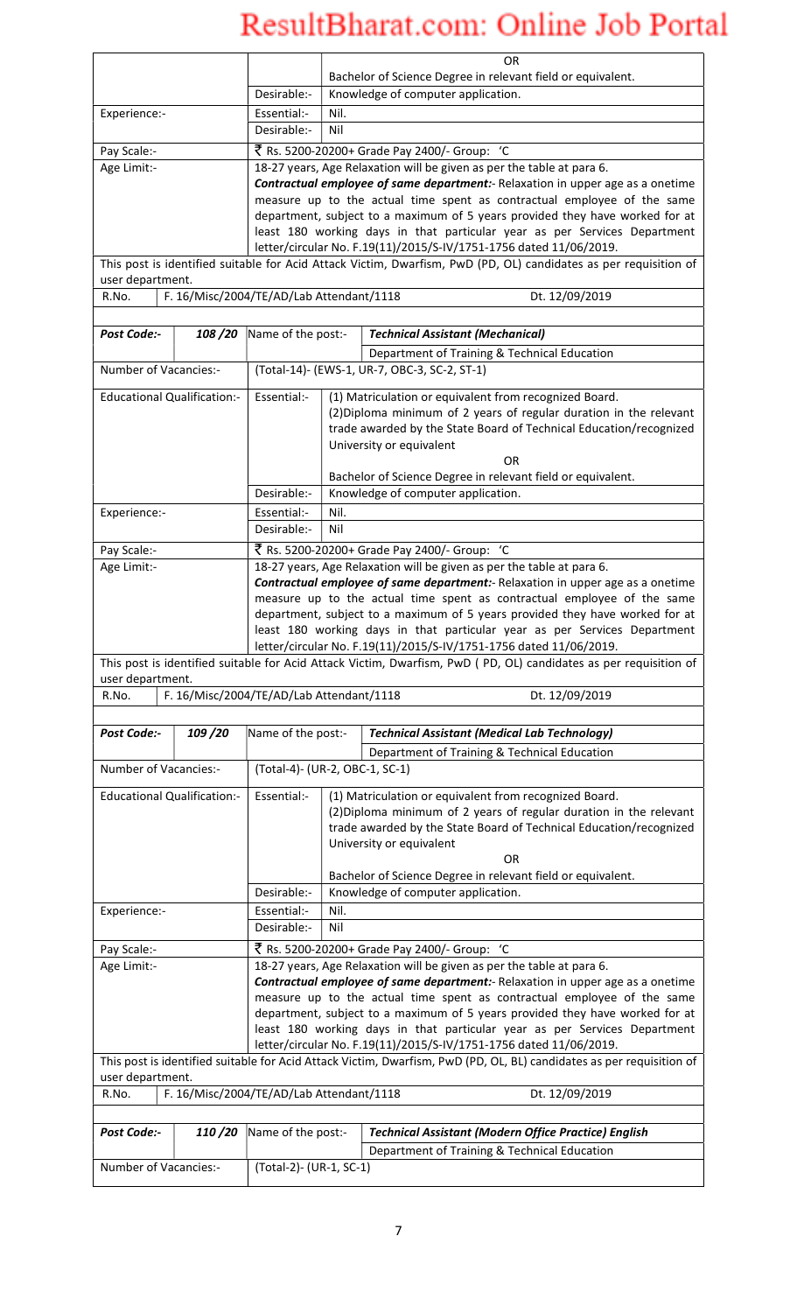|                                                                                                                                                           |                                          |                                                                                                                                                         |                                                                                                                                                         | OR                                                                                                                   |  |  |  |  |  |
|-----------------------------------------------------------------------------------------------------------------------------------------------------------|------------------------------------------|---------------------------------------------------------------------------------------------------------------------------------------------------------|---------------------------------------------------------------------------------------------------------------------------------------------------------|----------------------------------------------------------------------------------------------------------------------|--|--|--|--|--|
|                                                                                                                                                           |                                          |                                                                                                                                                         |                                                                                                                                                         | Bachelor of Science Degree in relevant field or equivalent.                                                          |  |  |  |  |  |
|                                                                                                                                                           |                                          | Desirable:-                                                                                                                                             |                                                                                                                                                         | Knowledge of computer application.                                                                                   |  |  |  |  |  |
| Experience:-                                                                                                                                              |                                          | Essential:-                                                                                                                                             | Nil.                                                                                                                                                    |                                                                                                                      |  |  |  |  |  |
|                                                                                                                                                           |                                          | Desirable:-                                                                                                                                             | Nil                                                                                                                                                     |                                                                                                                      |  |  |  |  |  |
| Pay Scale:-                                                                                                                                               |                                          |                                                                                                                                                         |                                                                                                                                                         | ₹ Rs. 5200-20200+ Grade Pay 2400/- Group: 'C                                                                         |  |  |  |  |  |
| Age Limit:-                                                                                                                                               |                                          | 18-27 years, Age Relaxation will be given as per the table at para 6.<br>Contractual employee of same department:- Relaxation in upper age as a onetime |                                                                                                                                                         |                                                                                                                      |  |  |  |  |  |
|                                                                                                                                                           |                                          |                                                                                                                                                         | measure up to the actual time spent as contractual employee of the same                                                                                 |                                                                                                                      |  |  |  |  |  |
|                                                                                                                                                           |                                          |                                                                                                                                                         | department, subject to a maximum of 5 years provided they have worked for at                                                                            |                                                                                                                      |  |  |  |  |  |
|                                                                                                                                                           |                                          |                                                                                                                                                         | least 180 working days in that particular year as per Services Department                                                                               |                                                                                                                      |  |  |  |  |  |
|                                                                                                                                                           |                                          |                                                                                                                                                         | letter/circular No. F.19(11)/2015/S-IV/1751-1756 dated 11/06/2019.                                                                                      |                                                                                                                      |  |  |  |  |  |
| user department.                                                                                                                                          |                                          |                                                                                                                                                         |                                                                                                                                                         | This post is identified suitable for Acid Attack Victim, Dwarfism, PwD (PD, OL) candidates as per requisition of     |  |  |  |  |  |
| R.No.                                                                                                                                                     | F. 16/Misc/2004/TE/AD/Lab Attendant/1118 |                                                                                                                                                         |                                                                                                                                                         | Dt. 12/09/2019                                                                                                       |  |  |  |  |  |
|                                                                                                                                                           |                                          |                                                                                                                                                         |                                                                                                                                                         |                                                                                                                      |  |  |  |  |  |
| Post Code:-                                                                                                                                               | 108/20                                   | Name of the post:-                                                                                                                                      |                                                                                                                                                         | <b>Technical Assistant (Mechanical)</b>                                                                              |  |  |  |  |  |
|                                                                                                                                                           |                                          |                                                                                                                                                         |                                                                                                                                                         | Department of Training & Technical Education                                                                         |  |  |  |  |  |
|                                                                                                                                                           | Number of Vacancies:-                    |                                                                                                                                                         |                                                                                                                                                         | (Total-14)- (EWS-1, UR-7, OBC-3, SC-2, ST-1)                                                                         |  |  |  |  |  |
|                                                                                                                                                           | <b>Educational Qualification:-</b>       | Essential:-                                                                                                                                             |                                                                                                                                                         | (1) Matriculation or equivalent from recognized Board.                                                               |  |  |  |  |  |
|                                                                                                                                                           |                                          |                                                                                                                                                         |                                                                                                                                                         | (2) Diploma minimum of 2 years of regular duration in the relevant                                                   |  |  |  |  |  |
|                                                                                                                                                           |                                          |                                                                                                                                                         |                                                                                                                                                         | trade awarded by the State Board of Technical Education/recognized<br>University or equivalent                       |  |  |  |  |  |
|                                                                                                                                                           |                                          |                                                                                                                                                         |                                                                                                                                                         | OR.                                                                                                                  |  |  |  |  |  |
|                                                                                                                                                           |                                          |                                                                                                                                                         |                                                                                                                                                         | Bachelor of Science Degree in relevant field or equivalent.                                                          |  |  |  |  |  |
|                                                                                                                                                           |                                          | Desirable:-                                                                                                                                             |                                                                                                                                                         | Knowledge of computer application.                                                                                   |  |  |  |  |  |
| Experience:-                                                                                                                                              |                                          | Essential:-                                                                                                                                             | Nil.                                                                                                                                                    |                                                                                                                      |  |  |  |  |  |
|                                                                                                                                                           |                                          | Desirable:-                                                                                                                                             | Nil                                                                                                                                                     |                                                                                                                      |  |  |  |  |  |
| Pay Scale:-                                                                                                                                               |                                          |                                                                                                                                                         | ₹ Rs. 5200-20200+ Grade Pay 2400/- Group: 'C                                                                                                            |                                                                                                                      |  |  |  |  |  |
| Age Limit:-                                                                                                                                               |                                          |                                                                                                                                                         | 18-27 years, Age Relaxation will be given as per the table at para 6.<br>Contractual employee of same department:- Relaxation in upper age as a onetime |                                                                                                                      |  |  |  |  |  |
|                                                                                                                                                           |                                          |                                                                                                                                                         | measure up to the actual time spent as contractual employee of the same                                                                                 |                                                                                                                      |  |  |  |  |  |
|                                                                                                                                                           |                                          |                                                                                                                                                         |                                                                                                                                                         | department, subject to a maximum of 5 years provided they have worked for at                                         |  |  |  |  |  |
|                                                                                                                                                           |                                          |                                                                                                                                                         | least 180 working days in that particular year as per Services Department                                                                               |                                                                                                                      |  |  |  |  |  |
|                                                                                                                                                           |                                          |                                                                                                                                                         |                                                                                                                                                         | letter/circular No. F.19(11)/2015/S-IV/1751-1756 dated 11/06/2019.                                                   |  |  |  |  |  |
| user department.                                                                                                                                          |                                          |                                                                                                                                                         |                                                                                                                                                         | This post is identified suitable for Acid Attack Victim, Dwarfism, PwD (PD, OL) candidates as per requisition of     |  |  |  |  |  |
| R.No.                                                                                                                                                     | F. 16/Misc/2004/TE/AD/Lab Attendant/1118 |                                                                                                                                                         |                                                                                                                                                         | Dt. 12/09/2019                                                                                                       |  |  |  |  |  |
|                                                                                                                                                           |                                          |                                                                                                                                                         |                                                                                                                                                         |                                                                                                                      |  |  |  |  |  |
| Post Code:-                                                                                                                                               | 109/20                                   | Name of the post:-                                                                                                                                      |                                                                                                                                                         | <b>Technical Assistant (Medical Lab Technology)</b>                                                                  |  |  |  |  |  |
|                                                                                                                                                           |                                          |                                                                                                                                                         |                                                                                                                                                         | Department of Training & Technical Education                                                                         |  |  |  |  |  |
|                                                                                                                                                           | Number of Vacancies:-                    | (Total-4)- (UR-2, OBC-1, SC-1)                                                                                                                          |                                                                                                                                                         |                                                                                                                      |  |  |  |  |  |
|                                                                                                                                                           | <b>Educational Qualification:-</b>       | Essential:-                                                                                                                                             |                                                                                                                                                         | (1) Matriculation or equivalent from recognized Board.                                                               |  |  |  |  |  |
|                                                                                                                                                           |                                          |                                                                                                                                                         |                                                                                                                                                         | (2) Diploma minimum of 2 years of regular duration in the relevant                                                   |  |  |  |  |  |
|                                                                                                                                                           |                                          |                                                                                                                                                         |                                                                                                                                                         | trade awarded by the State Board of Technical Education/recognized                                                   |  |  |  |  |  |
|                                                                                                                                                           |                                          |                                                                                                                                                         |                                                                                                                                                         | University or equivalent                                                                                             |  |  |  |  |  |
|                                                                                                                                                           |                                          |                                                                                                                                                         |                                                                                                                                                         | OR.<br>Bachelor of Science Degree in relevant field or equivalent.                                                   |  |  |  |  |  |
|                                                                                                                                                           |                                          | Desirable:-                                                                                                                                             |                                                                                                                                                         | Knowledge of computer application.                                                                                   |  |  |  |  |  |
| Experience:-                                                                                                                                              |                                          | Essential:-                                                                                                                                             | Nil.                                                                                                                                                    |                                                                                                                      |  |  |  |  |  |
|                                                                                                                                                           |                                          | Desirable:-                                                                                                                                             | Nil                                                                                                                                                     |                                                                                                                      |  |  |  |  |  |
| Pay Scale:-                                                                                                                                               |                                          |                                                                                                                                                         |                                                                                                                                                         | ₹ Rs. 5200-20200+ Grade Pay 2400/- Group: 'C                                                                         |  |  |  |  |  |
| Age Limit:-                                                                                                                                               |                                          |                                                                                                                                                         |                                                                                                                                                         | 18-27 years, Age Relaxation will be given as per the table at para 6.                                                |  |  |  |  |  |
|                                                                                                                                                           |                                          |                                                                                                                                                         |                                                                                                                                                         | Contractual employee of same department:- Relaxation in upper age as a onetime                                       |  |  |  |  |  |
|                                                                                                                                                           |                                          |                                                                                                                                                         |                                                                                                                                                         | measure up to the actual time spent as contractual employee of the same                                              |  |  |  |  |  |
| department, subject to a maximum of 5 years provided they have worked for at<br>least 180 working days in that particular year as per Services Department |                                          |                                                                                                                                                         |                                                                                                                                                         |                                                                                                                      |  |  |  |  |  |
|                                                                                                                                                           |                                          |                                                                                                                                                         |                                                                                                                                                         | letter/circular No. F.19(11)/2015/S-IV/1751-1756 dated 11/06/2019.                                                   |  |  |  |  |  |
|                                                                                                                                                           |                                          |                                                                                                                                                         |                                                                                                                                                         | This post is identified suitable for Acid Attack Victim, Dwarfism, PwD (PD, OL, BL) candidates as per requisition of |  |  |  |  |  |
| user department.<br>R.No.                                                                                                                                 | F. 16/Misc/2004/TE/AD/Lab Attendant/1118 |                                                                                                                                                         |                                                                                                                                                         | Dt. 12/09/2019                                                                                                       |  |  |  |  |  |
|                                                                                                                                                           |                                          |                                                                                                                                                         |                                                                                                                                                         |                                                                                                                      |  |  |  |  |  |
| Post Code:-                                                                                                                                               | 110/20                                   | Name of the post:-                                                                                                                                      |                                                                                                                                                         | <b>Technical Assistant (Modern Office Practice) English</b>                                                          |  |  |  |  |  |
|                                                                                                                                                           |                                          |                                                                                                                                                         |                                                                                                                                                         | Department of Training & Technical Education                                                                         |  |  |  |  |  |
| Number of Vacancies:-                                                                                                                                     |                                          | (Total-2)- (UR-1, SC-1)                                                                                                                                 |                                                                                                                                                         |                                                                                                                      |  |  |  |  |  |
|                                                                                                                                                           |                                          |                                                                                                                                                         |                                                                                                                                                         |                                                                                                                      |  |  |  |  |  |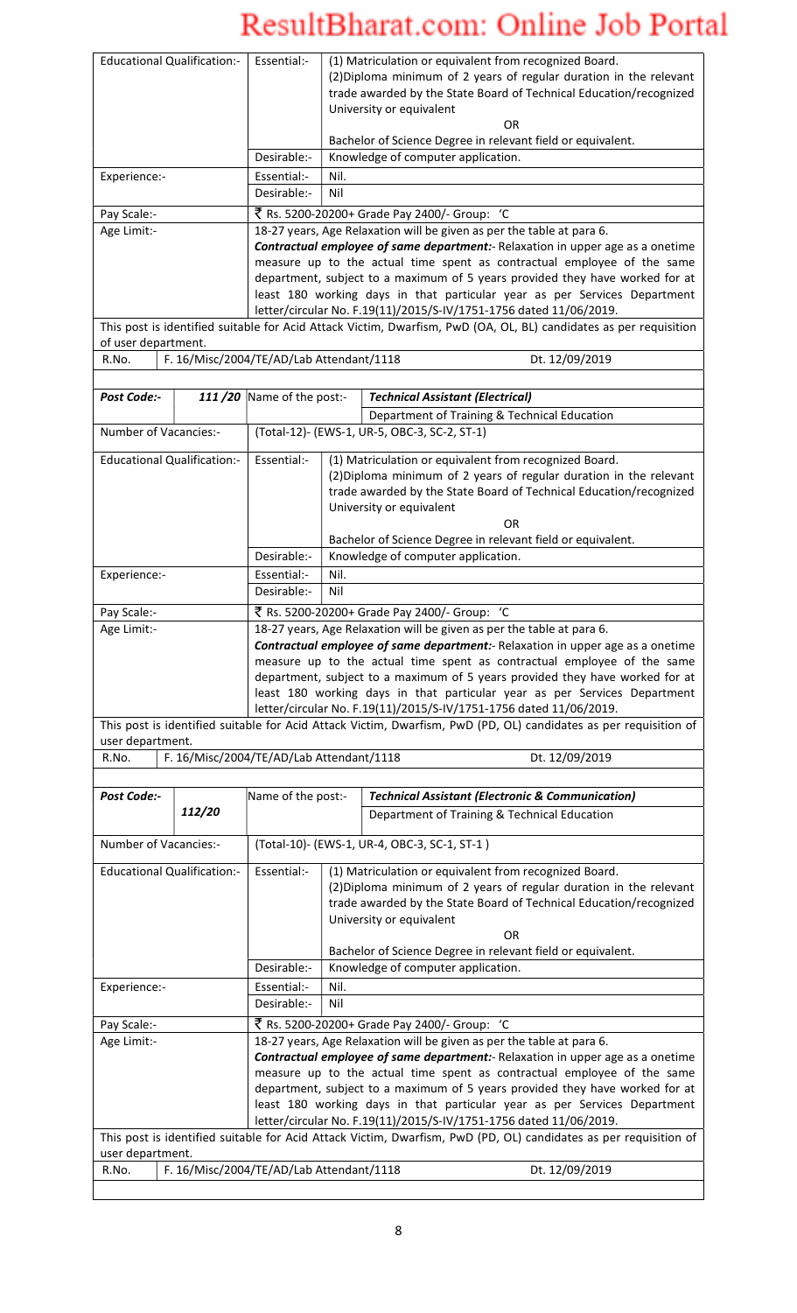| <b>Educational Qualification:-</b>             |        | Essential:-<br>Desirable:-               |      | (1) Matriculation or equivalent from recognized Board.<br>(2) Diploma minimum of 2 years of regular duration in the relevant<br>trade awarded by the State Board of Technical Education/recognized<br>University or equivalent<br><b>OR</b><br>Bachelor of Science Degree in relevant field or equivalent.<br>Knowledge of computer application.                                                                                                                                                                                                                                                                                          |  |  |  |  |
|------------------------------------------------|--------|------------------------------------------|------|-------------------------------------------------------------------------------------------------------------------------------------------------------------------------------------------------------------------------------------------------------------------------------------------------------------------------------------------------------------------------------------------------------------------------------------------------------------------------------------------------------------------------------------------------------------------------------------------------------------------------------------------|--|--|--|--|
| Experience:-                                   |        | Essential:-                              | Nil. |                                                                                                                                                                                                                                                                                                                                                                                                                                                                                                                                                                                                                                           |  |  |  |  |
|                                                |        | Desirable:-                              | Nil  |                                                                                                                                                                                                                                                                                                                                                                                                                                                                                                                                                                                                                                           |  |  |  |  |
| Pay Scale:-                                    |        |                                          |      | ₹ Rs. 5200-20200+ Grade Pay 2400/- Group: 'C                                                                                                                                                                                                                                                                                                                                                                                                                                                                                                                                                                                              |  |  |  |  |
| Age Limit:-                                    |        |                                          |      | 18-27 years, Age Relaxation will be given as per the table at para 6.                                                                                                                                                                                                                                                                                                                                                                                                                                                                                                                                                                     |  |  |  |  |
|                                                |        |                                          |      | <b>Contractual employee of same department:</b> - Relaxation in upper age as a onetime<br>measure up to the actual time spent as contractual employee of the same<br>department, subject to a maximum of 5 years provided they have worked for at<br>least 180 working days in that particular year as per Services Department<br>letter/circular No. F.19(11)/2015/S-IV/1751-1756 dated 11/06/2019.<br>This post is identified suitable for Acid Attack Victim, Dwarfism, PwD (OA, OL, BL) candidates as per requisition                                                                                                                 |  |  |  |  |
| of user department.                            |        |                                          |      |                                                                                                                                                                                                                                                                                                                                                                                                                                                                                                                                                                                                                                           |  |  |  |  |
| R.No.                                          |        | F. 16/Misc/2004/TE/AD/Lab Attendant/1118 |      | Dt. 12/09/2019                                                                                                                                                                                                                                                                                                                                                                                                                                                                                                                                                                                                                            |  |  |  |  |
|                                                |        |                                          |      |                                                                                                                                                                                                                                                                                                                                                                                                                                                                                                                                                                                                                                           |  |  |  |  |
| Post Code:-                                    | 111/20 | Name of the post:-                       |      | <b>Technical Assistant (Electrical)</b>                                                                                                                                                                                                                                                                                                                                                                                                                                                                                                                                                                                                   |  |  |  |  |
| Number of Vacancies:-                          |        |                                          |      | Department of Training & Technical Education<br>(Total-12)- (EWS-1, UR-5, OBC-3, SC-2, ST-1)                                                                                                                                                                                                                                                                                                                                                                                                                                                                                                                                              |  |  |  |  |
|                                                |        |                                          |      |                                                                                                                                                                                                                                                                                                                                                                                                                                                                                                                                                                                                                                           |  |  |  |  |
| <b>Educational Qualification:-</b>             |        | Essential:-                              |      | (1) Matriculation or equivalent from recognized Board.<br>(2) Diploma minimum of 2 years of regular duration in the relevant<br>trade awarded by the State Board of Technical Education/recognized<br>University or equivalent<br>OR.                                                                                                                                                                                                                                                                                                                                                                                                     |  |  |  |  |
|                                                |        |                                          |      | Bachelor of Science Degree in relevant field or equivalent.                                                                                                                                                                                                                                                                                                                                                                                                                                                                                                                                                                               |  |  |  |  |
|                                                |        | Desirable:-                              |      | Knowledge of computer application.                                                                                                                                                                                                                                                                                                                                                                                                                                                                                                                                                                                                        |  |  |  |  |
| Experience:-                                   |        | Essential:-                              | Nil. |                                                                                                                                                                                                                                                                                                                                                                                                                                                                                                                                                                                                                                           |  |  |  |  |
|                                                |        | Desirable:-                              | Nil  |                                                                                                                                                                                                                                                                                                                                                                                                                                                                                                                                                                                                                                           |  |  |  |  |
| Pay Scale:-                                    |        |                                          |      | ₹ Rs. 5200-20200+ Grade Pay 2400/- Group: 'C                                                                                                                                                                                                                                                                                                                                                                                                                                                                                                                                                                                              |  |  |  |  |
| Age Limit:-                                    |        |                                          |      | 18-27 years, Age Relaxation will be given as per the table at para 6.<br><b>Contractual employee of same department:</b> - Relaxation in upper age as a onetime<br>measure up to the actual time spent as contractual employee of the same<br>department, subject to a maximum of 5 years provided they have worked for at<br>least 180 working days in that particular year as per Services Department<br>letter/circular No. F.19(11)/2015/S-IV/1751-1756 dated 11/06/2019.                                                                                                                                                             |  |  |  |  |
|                                                |        |                                          |      | This post is identified suitable for Acid Attack Victim, Dwarfism, PwD (PD, OL) candidates as per requisition of                                                                                                                                                                                                                                                                                                                                                                                                                                                                                                                          |  |  |  |  |
| user department.                               |        |                                          |      |                                                                                                                                                                                                                                                                                                                                                                                                                                                                                                                                                                                                                                           |  |  |  |  |
| R.No.                                          |        | F. 16/Misc/2004/TE/AD/Lab Attendant/1118 |      | Dt. 12/09/2019                                                                                                                                                                                                                                                                                                                                                                                                                                                                                                                                                                                                                            |  |  |  |  |
| Post Code:-                                    |        | Name of the post:-                       |      | <b>Technical Assistant (Electronic &amp; Communication)</b>                                                                                                                                                                                                                                                                                                                                                                                                                                                                                                                                                                               |  |  |  |  |
|                                                | 112/20 |                                          |      | Department of Training & Technical Education                                                                                                                                                                                                                                                                                                                                                                                                                                                                                                                                                                                              |  |  |  |  |
|                                                |        |                                          |      |                                                                                                                                                                                                                                                                                                                                                                                                                                                                                                                                                                                                                                           |  |  |  |  |
| Number of Vacancies:-                          |        |                                          |      | (Total-10)- (EWS-1, UR-4, OBC-3, SC-1, ST-1)                                                                                                                                                                                                                                                                                                                                                                                                                                                                                                                                                                                              |  |  |  |  |
| <b>Educational Qualification:-</b>             |        | Essential:-<br>Desirable:-               |      | (1) Matriculation or equivalent from recognized Board.<br>(2) Diploma minimum of 2 years of regular duration in the relevant<br>trade awarded by the State Board of Technical Education/recognized<br>University or equivalent<br>OR.<br>Bachelor of Science Degree in relevant field or equivalent.<br>Knowledge of computer application.                                                                                                                                                                                                                                                                                                |  |  |  |  |
| Experience:-                                   |        | Essential:-                              | Nil. |                                                                                                                                                                                                                                                                                                                                                                                                                                                                                                                                                                                                                                           |  |  |  |  |
|                                                |        | Desirable:-                              | Nil  |                                                                                                                                                                                                                                                                                                                                                                                                                                                                                                                                                                                                                                           |  |  |  |  |
| Pay Scale:-<br>Age Limit:-<br>user department. |        |                                          |      | ₹ Rs. 5200-20200+ Grade Pay 2400/- Group: 'C<br>18-27 years, Age Relaxation will be given as per the table at para 6.<br>Contractual employee of same department:- Relaxation in upper age as a onetime<br>measure up to the actual time spent as contractual employee of the same<br>department, subject to a maximum of 5 years provided they have worked for at<br>least 180 working days in that particular year as per Services Department<br>letter/circular No. F.19(11)/2015/S-IV/1751-1756 dated 11/06/2019.<br>This post is identified suitable for Acid Attack Victim, Dwarfism, PwD (PD, OL) candidates as per requisition of |  |  |  |  |
| R.No.                                          |        | F. 16/Misc/2004/TE/AD/Lab Attendant/1118 |      | Dt. 12/09/2019                                                                                                                                                                                                                                                                                                                                                                                                                                                                                                                                                                                                                            |  |  |  |  |
|                                                |        |                                          |      |                                                                                                                                                                                                                                                                                                                                                                                                                                                                                                                                                                                                                                           |  |  |  |  |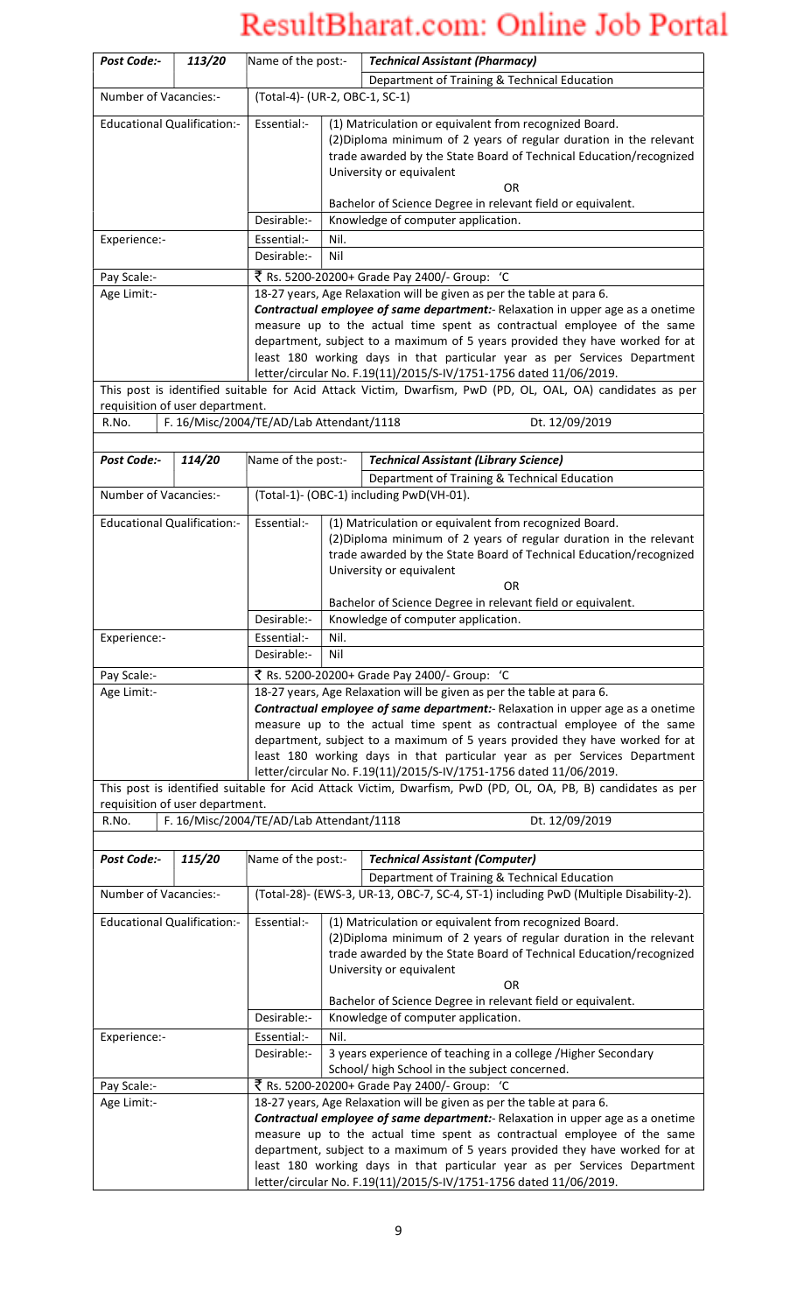| Post Code:-                                                   | 113/20 | Name of the post:-                       |                                                                                                                                                                                                                                                                                                                                                                                              | <b>Technical Assistant (Pharmacy)</b>                                                                                                                                                                                                                                                                                                                                                                                                                                                                                                                                                                                               |  |  |  |
|---------------------------------------------------------------|--------|------------------------------------------|----------------------------------------------------------------------------------------------------------------------------------------------------------------------------------------------------------------------------------------------------------------------------------------------------------------------------------------------------------------------------------------------|-------------------------------------------------------------------------------------------------------------------------------------------------------------------------------------------------------------------------------------------------------------------------------------------------------------------------------------------------------------------------------------------------------------------------------------------------------------------------------------------------------------------------------------------------------------------------------------------------------------------------------------|--|--|--|
| Number of Vacancies:-                                         |        | (Total-4)- (UR-2, OBC-1, SC-1)           |                                                                                                                                                                                                                                                                                                                                                                                              | Department of Training & Technical Education                                                                                                                                                                                                                                                                                                                                                                                                                                                                                                                                                                                        |  |  |  |
|                                                               |        |                                          |                                                                                                                                                                                                                                                                                                                                                                                              |                                                                                                                                                                                                                                                                                                                                                                                                                                                                                                                                                                                                                                     |  |  |  |
| <b>Educational Qualification:-</b>                            |        | Essential:-                              |                                                                                                                                                                                                                                                                                                                                                                                              | (1) Matriculation or equivalent from recognized Board.<br>(2) Diploma minimum of 2 years of regular duration in the relevant<br>trade awarded by the State Board of Technical Education/recognized<br>University or equivalent<br><b>OR</b>                                                                                                                                                                                                                                                                                                                                                                                         |  |  |  |
|                                                               |        |                                          |                                                                                                                                                                                                                                                                                                                                                                                              | Bachelor of Science Degree in relevant field or equivalent.                                                                                                                                                                                                                                                                                                                                                                                                                                                                                                                                                                         |  |  |  |
|                                                               |        | Desirable:-                              |                                                                                                                                                                                                                                                                                                                                                                                              | Knowledge of computer application.                                                                                                                                                                                                                                                                                                                                                                                                                                                                                                                                                                                                  |  |  |  |
| Experience:-                                                  |        | Essential:-                              | Nil.                                                                                                                                                                                                                                                                                                                                                                                         |                                                                                                                                                                                                                                                                                                                                                                                                                                                                                                                                                                                                                                     |  |  |  |
|                                                               |        | Desirable:-                              | Nil                                                                                                                                                                                                                                                                                                                                                                                          |                                                                                                                                                                                                                                                                                                                                                                                                                                                                                                                                                                                                                                     |  |  |  |
| Pay Scale:-<br>Age Limit:-<br>requisition of user department. |        |                                          |                                                                                                                                                                                                                                                                                                                                                                                              | ₹ Rs. 5200-20200+ Grade Pay 2400/- Group: 'C<br>18-27 years, Age Relaxation will be given as per the table at para 6.<br>Contractual employee of same department:- Relaxation in upper age as a onetime<br>measure up to the actual time spent as contractual employee of the same<br>department, subject to a maximum of 5 years provided they have worked for at<br>least 180 working days in that particular year as per Services Department<br>letter/circular No. F.19(11)/2015/S-IV/1751-1756 dated 11/06/2019.<br>This post is identified suitable for Acid Attack Victim, Dwarfism, PwD (PD, OL, OAL, OA) candidates as per |  |  |  |
| R.No.                                                         |        | F. 16/Misc/2004/TE/AD/Lab Attendant/1118 |                                                                                                                                                                                                                                                                                                                                                                                              | Dt. 12/09/2019                                                                                                                                                                                                                                                                                                                                                                                                                                                                                                                                                                                                                      |  |  |  |
|                                                               |        |                                          |                                                                                                                                                                                                                                                                                                                                                                                              |                                                                                                                                                                                                                                                                                                                                                                                                                                                                                                                                                                                                                                     |  |  |  |
| Post Code:-                                                   | 114/20 | Name of the post:-                       |                                                                                                                                                                                                                                                                                                                                                                                              | <b>Technical Assistant (Library Science)</b>                                                                                                                                                                                                                                                                                                                                                                                                                                                                                                                                                                                        |  |  |  |
| Number of Vacancies:-                                         |        |                                          |                                                                                                                                                                                                                                                                                                                                                                                              | Department of Training & Technical Education<br>(Total-1)- (OBC-1) including PwD(VH-01).                                                                                                                                                                                                                                                                                                                                                                                                                                                                                                                                            |  |  |  |
|                                                               |        |                                          |                                                                                                                                                                                                                                                                                                                                                                                              |                                                                                                                                                                                                                                                                                                                                                                                                                                                                                                                                                                                                                                     |  |  |  |
| <b>Educational Qualification:-</b>                            |        | Essential:-                              |                                                                                                                                                                                                                                                                                                                                                                                              | (1) Matriculation or equivalent from recognized Board.<br>(2) Diploma minimum of 2 years of regular duration in the relevant<br>trade awarded by the State Board of Technical Education/recognized<br>University or equivalent<br>OR.                                                                                                                                                                                                                                                                                                                                                                                               |  |  |  |
|                                                               |        |                                          |                                                                                                                                                                                                                                                                                                                                                                                              | Bachelor of Science Degree in relevant field or equivalent.                                                                                                                                                                                                                                                                                                                                                                                                                                                                                                                                                                         |  |  |  |
|                                                               |        | Desirable:-                              | Knowledge of computer application.                                                                                                                                                                                                                                                                                                                                                           |                                                                                                                                                                                                                                                                                                                                                                                                                                                                                                                                                                                                                                     |  |  |  |
| Experience:-                                                  |        | Essential:-<br>Desirable:-               | Nil.<br>Nil                                                                                                                                                                                                                                                                                                                                                                                  |                                                                                                                                                                                                                                                                                                                                                                                                                                                                                                                                                                                                                                     |  |  |  |
|                                                               |        |                                          |                                                                                                                                                                                                                                                                                                                                                                                              |                                                                                                                                                                                                                                                                                                                                                                                                                                                                                                                                                                                                                                     |  |  |  |
| Pay Scale:-<br>Age Limit:-                                    |        |                                          |                                                                                                                                                                                                                                                                                                                                                                                              | ₹ Rs. 5200-20200+ Grade Pay 2400/- Group: 'C<br>18-27 years, Age Relaxation will be given as per the table at para 6.<br>Contractual employee of same department:- Relaxation in upper age as a onetime<br>measure up to the actual time spent as contractual employee of the same<br>department, subject to a maximum of 5 years provided they have worked for at<br>least 180 working days in that particular year as per Services Department<br>letter/circular No. F.19(11)/2015/S-IV/1751-1756 dated 11/06/2019.                                                                                                               |  |  |  |
|                                                               |        |                                          |                                                                                                                                                                                                                                                                                                                                                                                              | This post is identified suitable for Acid Attack Victim, Dwarfism, PwD (PD, OL, OA, PB, B) candidates as per                                                                                                                                                                                                                                                                                                                                                                                                                                                                                                                        |  |  |  |
| requisition of user department.<br>R.No.                      |        | F. 16/Misc/2004/TE/AD/Lab Attendant/1118 |                                                                                                                                                                                                                                                                                                                                                                                              | Dt. 12/09/2019                                                                                                                                                                                                                                                                                                                                                                                                                                                                                                                                                                                                                      |  |  |  |
|                                                               |        |                                          |                                                                                                                                                                                                                                                                                                                                                                                              |                                                                                                                                                                                                                                                                                                                                                                                                                                                                                                                                                                                                                                     |  |  |  |
| Post Code:-                                                   | 115/20 | Name of the post:-                       |                                                                                                                                                                                                                                                                                                                                                                                              | <b>Technical Assistant (Computer)</b>                                                                                                                                                                                                                                                                                                                                                                                                                                                                                                                                                                                               |  |  |  |
|                                                               |        |                                          |                                                                                                                                                                                                                                                                                                                                                                                              | Department of Training & Technical Education                                                                                                                                                                                                                                                                                                                                                                                                                                                                                                                                                                                        |  |  |  |
| Number of Vacancies:-<br><b>Educational Qualification:-</b>   |        | Essential:-                              | (Total-28)- (EWS-3, UR-13, OBC-7, SC-4, ST-1) including PwD (Multiple Disability-2).<br>(1) Matriculation or equivalent from recognized Board.<br>(2) Diploma minimum of 2 years of regular duration in the relevant<br>trade awarded by the State Board of Technical Education/recognized<br>University or equivalent<br>OR.<br>Bachelor of Science Degree in relevant field or equivalent. |                                                                                                                                                                                                                                                                                                                                                                                                                                                                                                                                                                                                                                     |  |  |  |
|                                                               |        | Desirable:-                              |                                                                                                                                                                                                                                                                                                                                                                                              | Knowledge of computer application.                                                                                                                                                                                                                                                                                                                                                                                                                                                                                                                                                                                                  |  |  |  |
| Experience:-                                                  |        | Essential:-                              | Nil.                                                                                                                                                                                                                                                                                                                                                                                         |                                                                                                                                                                                                                                                                                                                                                                                                                                                                                                                                                                                                                                     |  |  |  |
|                                                               |        | Desirable:-                              |                                                                                                                                                                                                                                                                                                                                                                                              | 3 years experience of teaching in a college / Higher Secondary                                                                                                                                                                                                                                                                                                                                                                                                                                                                                                                                                                      |  |  |  |
| Pay Scale:-                                                   |        |                                          |                                                                                                                                                                                                                                                                                                                                                                                              | School/ high School in the subject concerned.<br>₹ Rs. 5200-20200+ Grade Pay 2400/- Group: 'C                                                                                                                                                                                                                                                                                                                                                                                                                                                                                                                                       |  |  |  |
| Age Limit:-                                                   |        |                                          |                                                                                                                                                                                                                                                                                                                                                                                              | 18-27 years, Age Relaxation will be given as per the table at para 6.<br>Contractual employee of same department:- Relaxation in upper age as a onetime                                                                                                                                                                                                                                                                                                                                                                                                                                                                             |  |  |  |
|                                                               |        |                                          |                                                                                                                                                                                                                                                                                                                                                                                              | measure up to the actual time spent as contractual employee of the same<br>department, subject to a maximum of 5 years provided they have worked for at                                                                                                                                                                                                                                                                                                                                                                                                                                                                             |  |  |  |
|                                                               |        |                                          |                                                                                                                                                                                                                                                                                                                                                                                              | least 180 working days in that particular year as per Services Department                                                                                                                                                                                                                                                                                                                                                                                                                                                                                                                                                           |  |  |  |
|                                                               |        |                                          |                                                                                                                                                                                                                                                                                                                                                                                              | letter/circular No. F.19(11)/2015/S-IV/1751-1756 dated 11/06/2019.                                                                                                                                                                                                                                                                                                                                                                                                                                                                                                                                                                  |  |  |  |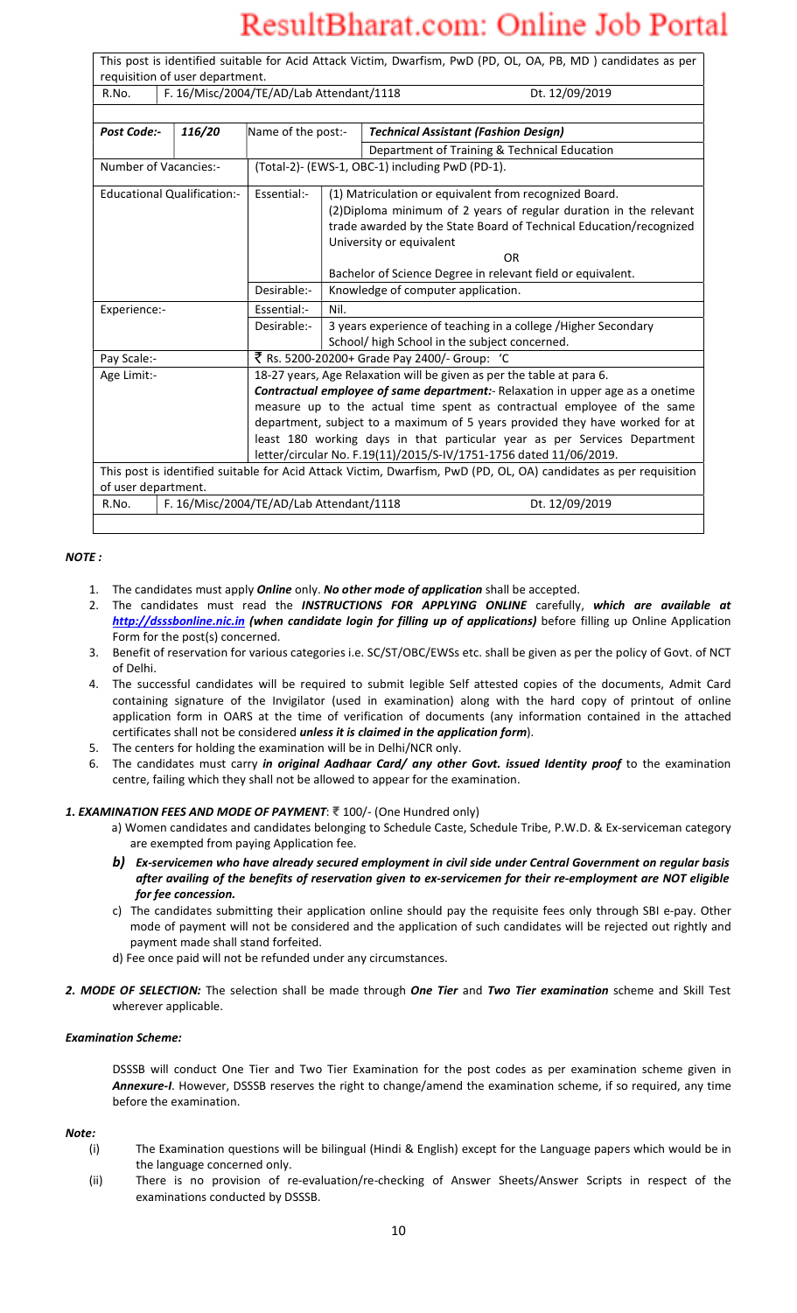| This post is identified suitable for Acid Attack Victim, Dwarfism, PwD (PD, OL, OA, PB, MD) candidates as per<br>requisition of user department. |                                          |                    |                                                            |                                                                                                                   |  |  |  |  |
|--------------------------------------------------------------------------------------------------------------------------------------------------|------------------------------------------|--------------------|------------------------------------------------------------|-------------------------------------------------------------------------------------------------------------------|--|--|--|--|
| R.No.                                                                                                                                            |                                          |                    | F. 16/Misc/2004/TE/AD/Lab Attendant/1118<br>Dt. 12/09/2019 |                                                                                                                   |  |  |  |  |
|                                                                                                                                                  |                                          |                    |                                                            |                                                                                                                   |  |  |  |  |
| Post Code:-                                                                                                                                      | 116/20                                   | Name of the post:- |                                                            | <b>Technical Assistant (Fashion Design)</b>                                                                       |  |  |  |  |
|                                                                                                                                                  |                                          |                    |                                                            | Department of Training & Technical Education                                                                      |  |  |  |  |
| Number of Vacancies:-                                                                                                                            |                                          |                    |                                                            | (Total-2)- (EWS-1, OBC-1) including PwD (PD-1).                                                                   |  |  |  |  |
|                                                                                                                                                  | <b>Educational Qualification:-</b>       | Essential:-        |                                                            | (1) Matriculation or equivalent from recognized Board.                                                            |  |  |  |  |
|                                                                                                                                                  |                                          |                    |                                                            | (2) Diploma minimum of 2 years of regular duration in the relevant                                                |  |  |  |  |
|                                                                                                                                                  |                                          |                    |                                                            | trade awarded by the State Board of Technical Education/recognized                                                |  |  |  |  |
|                                                                                                                                                  |                                          |                    |                                                            | University or equivalent                                                                                          |  |  |  |  |
|                                                                                                                                                  |                                          |                    |                                                            | OR                                                                                                                |  |  |  |  |
|                                                                                                                                                  |                                          |                    |                                                            | Bachelor of Science Degree in relevant field or equivalent.                                                       |  |  |  |  |
|                                                                                                                                                  |                                          | Desirable:-        | Knowledge of computer application.                         |                                                                                                                   |  |  |  |  |
| Experience:-                                                                                                                                     |                                          | Essential:-        | Nil.                                                       |                                                                                                                   |  |  |  |  |
|                                                                                                                                                  |                                          | Desirable:-        |                                                            | 3 years experience of teaching in a college /Higher Secondary                                                     |  |  |  |  |
|                                                                                                                                                  |                                          |                    |                                                            | School/ high School in the subject concerned.                                                                     |  |  |  |  |
| Pay Scale:-                                                                                                                                      |                                          |                    |                                                            | ₹ Rs. 5200-20200+ Grade Pay 2400/- Group: 'C                                                                      |  |  |  |  |
| Age Limit:-                                                                                                                                      |                                          |                    |                                                            | 18-27 years, Age Relaxation will be given as per the table at para 6.                                             |  |  |  |  |
|                                                                                                                                                  |                                          |                    |                                                            | <b>Contractual employee of same department:</b> - Relaxation in upper age as a onetime                            |  |  |  |  |
|                                                                                                                                                  |                                          |                    |                                                            | measure up to the actual time spent as contractual employee of the same                                           |  |  |  |  |
|                                                                                                                                                  |                                          |                    |                                                            | department, subject to a maximum of 5 years provided they have worked for at                                      |  |  |  |  |
|                                                                                                                                                  |                                          |                    |                                                            | least 180 working days in that particular year as per Services Department                                         |  |  |  |  |
|                                                                                                                                                  |                                          |                    |                                                            | letter/circular No. F.19(11)/2015/S-IV/1751-1756 dated 11/06/2019.                                                |  |  |  |  |
|                                                                                                                                                  |                                          |                    |                                                            | This post is identified suitable for Acid Attack Victim, Dwarfism, PwD (PD, OL, OA) candidates as per requisition |  |  |  |  |
| of user department.                                                                                                                              |                                          |                    |                                                            |                                                                                                                   |  |  |  |  |
| R.No.                                                                                                                                            | F. 16/Misc/2004/TE/AD/Lab Attendant/1118 |                    |                                                            | Dt. 12/09/2019                                                                                                    |  |  |  |  |

### NOTE :

- 1. The candidates must apply **Online** only. No other mode of application shall be accepted.
- 2. The candidates must read the INSTRUCTIONS FOR APPLYING ONLINE carefully, which are available at http://dsssbonline.nic.in (when candidate login for filling up of applications) before filling up Online Application Form for the post(s) concerned.
- 3. Benefit of reservation for various categories i.e. SC/ST/OBC/EWSs etc. shall be given as per the policy of Govt. of NCT of Delhi.
- 4. The successful candidates will be required to submit legible Self attested copies of the documents, Admit Card containing signature of the Invigilator (used in examination) along with the hard copy of printout of online application form in OARS at the time of verification of documents (any information contained in the attached certificates shall not be considered unless it is claimed in the application form).
- 5. The centers for holding the examination will be in Delhi/NCR only.
- 6. The candidates must carry in original Aadhaar Card/ any other Govt. issued Identity proof to the examination centre, failing which they shall not be allowed to appear for the examination.

### 1. EXAMINATION FEES AND MODE OF PAYMENT: ₹ 100/- (One Hundred only)

- a) Women candidates and candidates belonging to Schedule Caste, Schedule Tribe, P.W.D. & Ex-serviceman category are exempted from paying Application fee.
- b) Ex-servicemen who have already secured employment in civil side under Central Government on regular basis after availing of the benefits of reservation given to ex-servicemen for their re-employment are NOT eligible for fee concession.
- c) The candidates submitting their application online should pay the requisite fees only through SBI e-pay. Other mode of payment will not be considered and the application of such candidates will be rejected out rightly and payment made shall stand forfeited.
- d) Fee once paid will not be refunded under any circumstances.
- 2. MODE OF SELECTION: The selection shall be made through One Tier and Two Tier examination scheme and Skill Test wherever applicable.

### Examination Scheme:

DSSSB will conduct One Tier and Two Tier Examination for the post codes as per examination scheme given in Annexure-I. However, DSSSB reserves the right to change/amend the examination scheme, if so required, any time before the examination.

#### Note:

- (i) The Examination questions will be bilingual (Hindi & English) except for the Language papers which would be in the language concerned only.
- (ii) There is no provision of re-evaluation/re-checking of Answer Sheets/Answer Scripts in respect of the examinations conducted by DSSSB.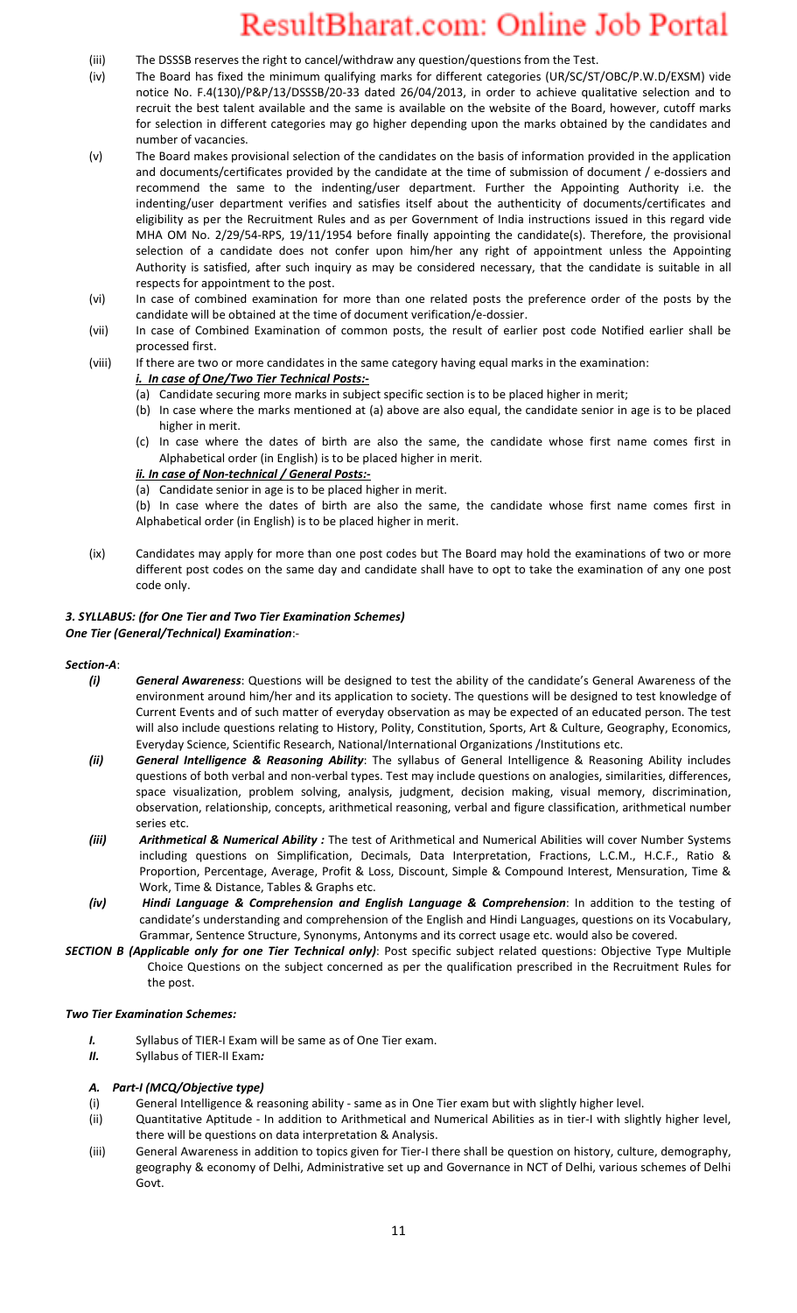- (iii) The DSSSB reserves the right to cancel/withdraw any question/questions from the Test.
- (iv) The Board has fixed the minimum qualifying marks for different categories (UR/SC/ST/OBC/P.W.D/EXSM) vide notice No. F.4(130)/P&P/13/DSSSB/20-33 dated 26/04/2013, in order to achieve qualitative selection and to recruit the best talent available and the same is available on the website of the Board, however, cutoff marks for selection in different categories may go higher depending upon the marks obtained by the candidates and number of vacancies.
- (v) The Board makes provisional selection of the candidates on the basis of information provided in the application and documents/certificates provided by the candidate at the time of submission of document / e-dossiers and recommend the same to the indenting/user department. Further the Appointing Authority i.e. the indenting/user department verifies and satisfies itself about the authenticity of documents/certificates and eligibility as per the Recruitment Rules and as per Government of India instructions issued in this regard vide MHA OM No. 2/29/54-RPS, 19/11/1954 before finally appointing the candidate(s). Therefore, the provisional selection of a candidate does not confer upon him/her any right of appointment unless the Appointing Authority is satisfied, after such inquiry as may be considered necessary, that the candidate is suitable in all respects for appointment to the post.
- (vi) In case of combined examination for more than one related posts the preference order of the posts by the candidate will be obtained at the time of document verification/e-dossier.
- (vii) In case of Combined Examination of common posts, the result of earlier post code Notified earlier shall be processed first.
- (viii) If there are two or more candidates in the same category having equal marks in the examination:

#### i. In case of One/Two Tier Technical Posts:-

- (a) Candidate securing more marks in subject specific section is to be placed higher in merit;
- (b) In case where the marks mentioned at (a) above are also equal, the candidate senior in age is to be placed higher in merit.
- (c) In case where the dates of birth are also the same, the candidate whose first name comes first in Alphabetical order (in English) is to be placed higher in merit.

#### ii. In case of Non-technical / General Posts:-

(a) Candidate senior in age is to be placed higher in merit.

(b) In case where the dates of birth are also the same, the candidate whose first name comes first in Alphabetical order (in English) is to be placed higher in merit.

(ix) Candidates may apply for more than one post codes but The Board may hold the examinations of two or more different post codes on the same day and candidate shall have to opt to take the examination of any one post code only.

#### 3. SYLLABUS: (for One Tier and Two Tier Examination Schemes) One Tier (General/Technical) Examination:-

#### Section-A:

- (i) General Awareness: Questions will be designed to test the ability of the candidate's General Awareness of the environment around him/her and its application to society. The questions will be designed to test knowledge of Current Events and of such matter of everyday observation as may be expected of an educated person. The test will also include questions relating to History, Polity, Constitution, Sports, Art & Culture, Geography, Economics, Everyday Science, Scientific Research, National/International Organizations /Institutions etc.
- (ii) General Intelligence & Reasoning Ability: The syllabus of General Intelligence & Reasoning Ability includes questions of both verbal and non-verbal types. Test may include questions on analogies, similarities, differences, space visualization, problem solving, analysis, judgment, decision making, visual memory, discrimination, observation, relationship, concepts, arithmetical reasoning, verbal and figure classification, arithmetical number series etc.
- (iii) Arithmetical & Numerical Ability : The test of Arithmetical and Numerical Abilities will cover Number Systems including questions on Simplification, Decimals, Data Interpretation, Fractions, L.C.M., H.C.F., Ratio & Proportion, Percentage, Average, Profit & Loss, Discount, Simple & Compound Interest, Mensuration, Time & Work, Time & Distance, Tables & Graphs etc.
- (iv) Hindi Language & Comprehension and English Language & Comprehension: In addition to the testing of candidate's understanding and comprehension of the English and Hindi Languages, questions on its Vocabulary, Grammar, Sentence Structure, Synonyms, Antonyms and its correct usage etc. would also be covered.
- SECTION B (Applicable only for one Tier Technical only): Post specific subject related questions: Objective Type Multiple Choice Questions on the subject concerned as per the qualification prescribed in the Recruitment Rules for the post.

#### Two Tier Examination Schemes:

- I. Syllabus of TIER-I Exam will be same as of One Tier exam.
- II. Syllabus of TIER-II Exam:

#### A. Part-I (MCQ/Objective type)

- (i) General Intelligence & reasoning ability same as in One Tier exam but with slightly higher level.
- (ii) Quantitative Aptitude In addition to Arithmetical and Numerical Abilities as in tier-I with slightly higher level, there will be questions on data interpretation & Analysis.
- (iii) General Awareness in addition to topics given for Tier-I there shall be question on history, culture, demography, geography & economy of Delhi, Administrative set up and Governance in NCT of Delhi, various schemes of Delhi Govt.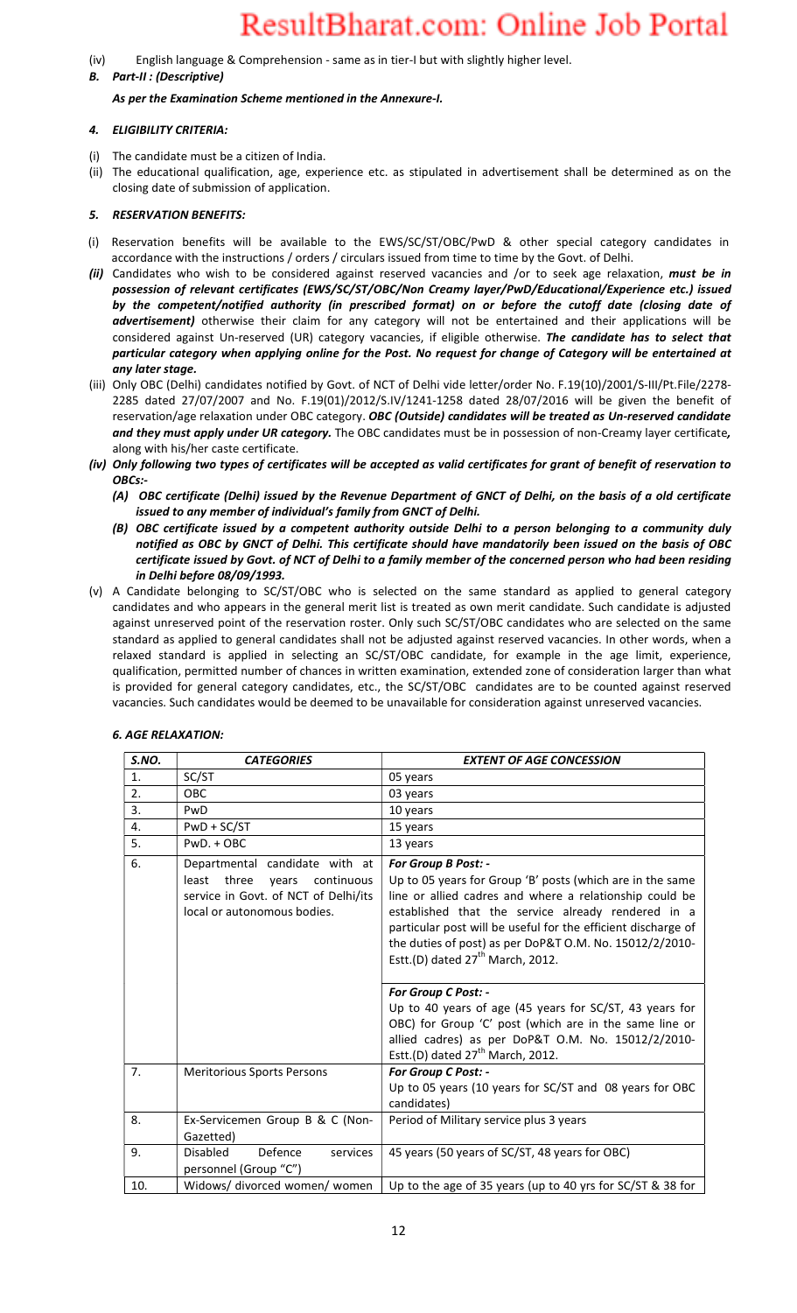(iv) English language & Comprehension - same as in tier-I but with slightly higher level.

#### B. Part-II : (Descriptive)

As per the Examination Scheme mentioned in the Annexure-I.

### 4. ELIGIBILITY CRITERIA:

- (i) The candidate must be a citizen of India.
- (ii) The educational qualification, age, experience etc. as stipulated in advertisement shall be determined as on the closing date of submission of application.

### 5. RESERVATION BENEFITS:

- (i) Reservation benefits will be available to the EWS/SC/ST/OBC/PwD & other special category candidates in accordance with the instructions / orders / circulars issued from time to time by the Govt. of Delhi.
- (ii) Candidates who wish to be considered against reserved vacancies and /or to seek age relaxation, must be in possession of relevant certificates (EWS/SC/ST/OBC/Non Creamy layer/PwD/Educational/Experience etc.) issued by the competent/notified authority (in prescribed format) on or before the cutoff date (closing date of advertisement) otherwise their claim for any category will not be entertained and their applications will be considered against Un-reserved (UR) category vacancies, if eligible otherwise. The candidate has to select that particular category when applying online for the Post. No request for change of Category will be entertained at any later stage.
- (iii) Only OBC (Delhi) candidates notified by Govt. of NCT of Delhi vide letter/order No. F.19(10)/2001/S-III/Pt.File/2278- 2285 dated 27/07/2007 and No. F.19(01)/2012/S.IV/1241-1258 dated 28/07/2016 will be given the benefit of reservation/age relaxation under OBC category. OBC (Outside) candidates will be treated as Un-reserved candidate and they must apply under UR category. The OBC candidates must be in possession of non-Creamy layer certificate, along with his/her caste certificate.
- (iv) Only following two types of certificates will be accepted as valid certificates for grant of benefit of reservation to OBCs:-
	- (A) OBC certificate (Delhi) issued by the Revenue Department of GNCT of Delhi, on the basis of a old certificate issued to any member of individual's family from GNCT of Delhi.
	- (B) OBC certificate issued by a competent authority outside Delhi to a person belonging to a community duly notified as OBC by GNCT of Delhi. This certificate should have mandatorily been issued on the basis of OBC certificate issued by Govt. of NCT of Delhi to a family member of the concerned person who had been residing in Delhi before 08/09/1993.
- (v) A Candidate belonging to SC/ST/OBC who is selected on the same standard as applied to general category candidates and who appears in the general merit list is treated as own merit candidate. Such candidate is adjusted against unreserved point of the reservation roster. Only such SC/ST/OBC candidates who are selected on the same standard as applied to general candidates shall not be adjusted against reserved vacancies. In other words, when a relaxed standard is applied in selecting an SC/ST/OBC candidate, for example in the age limit, experience, qualification, permitted number of chances in written examination, extended zone of consideration larger than what is provided for general category candidates, etc., the SC/ST/OBC candidates are to be counted against reserved vacancies. Such candidates would be deemed to be unavailable for consideration against unreserved vacancies.

| S.NO.          | <b>CATEGORIES</b>                                                                                                                              | <b>EXTENT OF AGE CONCESSION</b>                                                                                                                                                                                                                                                                                                                                     |
|----------------|------------------------------------------------------------------------------------------------------------------------------------------------|---------------------------------------------------------------------------------------------------------------------------------------------------------------------------------------------------------------------------------------------------------------------------------------------------------------------------------------------------------------------|
| $\mathbf{1}$ . | SC/ST                                                                                                                                          | 05 years                                                                                                                                                                                                                                                                                                                                                            |
| 2.             | <b>OBC</b>                                                                                                                                     | 03 years                                                                                                                                                                                                                                                                                                                                                            |
| 3.             | PwD                                                                                                                                            | 10 years                                                                                                                                                                                                                                                                                                                                                            |
| 4.             | $PWD + SC/ST$                                                                                                                                  | 15 years                                                                                                                                                                                                                                                                                                                                                            |
| 5.             | $PWD.+OBC$                                                                                                                                     | 13 years                                                                                                                                                                                                                                                                                                                                                            |
| 6.             | Departmental candidate with at<br>least<br>three<br>continuous<br>vears<br>service in Govt. of NCT of Delhi/its<br>local or autonomous bodies. | For Group B Post: -<br>Up to 05 years for Group 'B' posts (which are in the same<br>line or allied cadres and where a relationship could be<br>established that the service already rendered in a<br>particular post will be useful for the efficient discharge of<br>the duties of post) as per DoP&T O.M. No. 15012/2/2010-<br>Estt.(D) dated $27th$ March, 2012. |
|                |                                                                                                                                                | For Group C Post: -<br>Up to 40 years of age (45 years for SC/ST, 43 years for<br>OBC) for Group 'C' post (which are in the same line or<br>allied cadres) as per DoP&T O.M. No. 15012/2/2010-<br>Estt.(D) dated $27th$ March, 2012.                                                                                                                                |
| 7.             | <b>Meritorious Sports Persons</b>                                                                                                              | For Group C Post: -<br>Up to 05 years (10 years for SC/ST and 08 years for OBC<br>candidates)                                                                                                                                                                                                                                                                       |
| 8.             | Ex-Servicemen Group B & C (Non-<br>Gazetted)                                                                                                   | Period of Military service plus 3 years                                                                                                                                                                                                                                                                                                                             |
| 9.             | <b>Disabled</b><br>Defence<br>services<br>personnel (Group "C")                                                                                | 45 years (50 years of SC/ST, 48 years for OBC)                                                                                                                                                                                                                                                                                                                      |
| 10.            | Widows/divorced women/women                                                                                                                    | Up to the age of 35 years (up to 40 yrs for SC/ST & 38 for                                                                                                                                                                                                                                                                                                          |

## 6. AGE RELAXATION: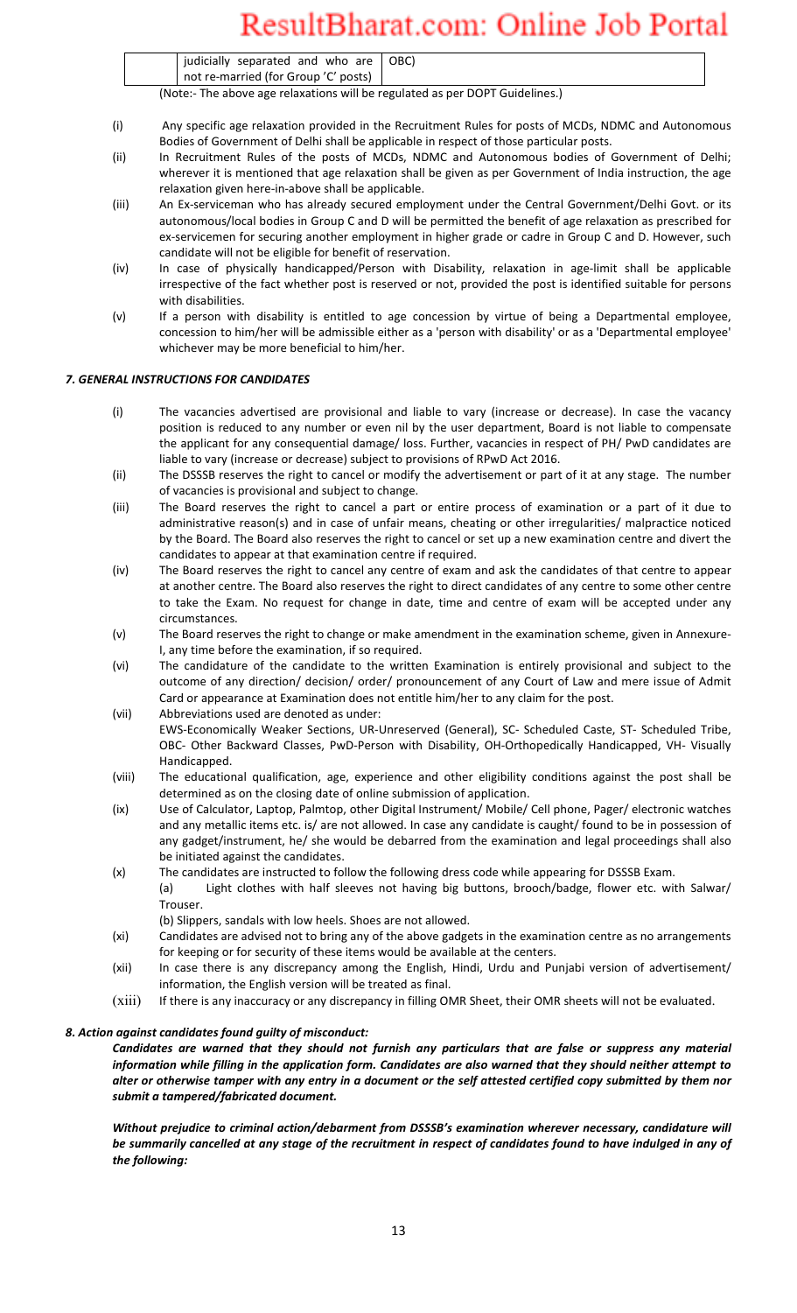judicially separated and who are OBC)

not re-married (for Group 'C' posts)

(Note:- The above age relaxations will be regulated as per DOPT Guidelines.)

- (i) Any specific age relaxation provided in the Recruitment Rules for posts of MCDs, NDMC and Autonomous Bodies of Government of Delhi shall be applicable in respect of those particular posts.
- (ii) In Recruitment Rules of the posts of MCDs, NDMC and Autonomous bodies of Government of Delhi; wherever it is mentioned that age relaxation shall be given as per Government of India instruction, the age relaxation given here-in-above shall be applicable.
- (iii) An Ex-serviceman who has already secured employment under the Central Government/Delhi Govt. or its autonomous/local bodies in Group C and D will be permitted the benefit of age relaxation as prescribed for ex-servicemen for securing another employment in higher grade or cadre in Group C and D. However, such candidate will not be eligible for benefit of reservation.
- (iv) In case of physically handicapped/Person with Disability, relaxation in age-limit shall be applicable irrespective of the fact whether post is reserved or not, provided the post is identified suitable for persons with disabilities.
- (v) If a person with disability is entitled to age concession by virtue of being a Departmental employee, concession to him/her will be admissible either as a 'person with disability' or as a 'Departmental employee' whichever may be more beneficial to him/her.

#### 7. GENERAL INSTRUCTIONS FOR CANDIDATES

- (i) The vacancies advertised are provisional and liable to vary (increase or decrease). In case the vacancy position is reduced to any number or even nil by the user department, Board is not liable to compensate the applicant for any consequential damage/ loss. Further, vacancies in respect of PH/ PwD candidates are liable to vary (increase or decrease) subject to provisions of RPwD Act 2016.
- (ii) The DSSSB reserves the right to cancel or modify the advertisement or part of it at any stage. The number of vacancies is provisional and subject to change.
- (iii) The Board reserves the right to cancel a part or entire process of examination or a part of it due to administrative reason(s) and in case of unfair means, cheating or other irregularities/ malpractice noticed by the Board. The Board also reserves the right to cancel or set up a new examination centre and divert the candidates to appear at that examination centre if required.
- (iv) The Board reserves the right to cancel any centre of exam and ask the candidates of that centre to appear at another centre. The Board also reserves the right to direct candidates of any centre to some other centre to take the Exam. No request for change in date, time and centre of exam will be accepted under any circumstances.
- (v) The Board reserves the right to change or make amendment in the examination scheme, given in Annexure-I, any time before the examination, if so required.
- (vi) The candidature of the candidate to the written Examination is entirely provisional and subject to the outcome of any direction/ decision/ order/ pronouncement of any Court of Law and mere issue of Admit Card or appearance at Examination does not entitle him/her to any claim for the post.
- (vii) Abbreviations used are denoted as under: EWS-Economically Weaker Sections, UR-Unreserved (General), SC- Scheduled Caste, ST- Scheduled Tribe, OBC- Other Backward Classes, PwD-Person with Disability, OH-Orthopedically Handicapped, VH- Visually Handicapped.
- (viii) The educational qualification, age, experience and other eligibility conditions against the post shall be determined as on the closing date of online submission of application.
- (ix) Use of Calculator, Laptop, Palmtop, other Digital Instrument/ Mobile/ Cell phone, Pager/ electronic watches and any metallic items etc. is/ are not allowed. In case any candidate is caught/ found to be in possession of any gadget/instrument, he/ she would be debarred from the examination and legal proceedings shall also be initiated against the candidates.
- (x) The candidates are instructed to follow the following dress code while appearing for DSSSB Exam. (a) Light clothes with half sleeves not having big buttons, brooch/badge, flower etc. with Salwar/ Trouser.
	- (b) Slippers, sandals with low heels. Shoes are not allowed.
- (xi) Candidates are advised not to bring any of the above gadgets in the examination centre as no arrangements for keeping or for security of these items would be available at the centers.
- (xii) In case there is any discrepancy among the English, Hindi, Urdu and Punjabi version of advertisement/ information, the English version will be treated as final.
- (xiii) If there is any inaccuracy or any discrepancy in filling OMR Sheet, their OMR sheets will not be evaluated.

#### 8. Action against candidates found guilty of misconduct:

Candidates are warned that they should not furnish any particulars that are false or suppress any material information while filling in the application form. Candidates are also warned that they should neither attempt to alter or otherwise tamper with any entry in a document or the self attested certified copy submitted by them nor submit a tampered/fabricated document.

Without prejudice to criminal action/debarment from DSSSB's examination wherever necessary, candidature will be summarily cancelled at any stage of the recruitment in respect of candidates found to have indulged in any of the following: